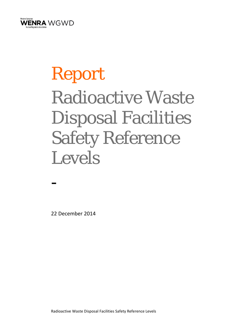

# Report Radioactive Waste Disposal Facilities Safety Reference Levels

22 December 2014

-

Radioactive Waste Disposal Facilities Safety Reference Levels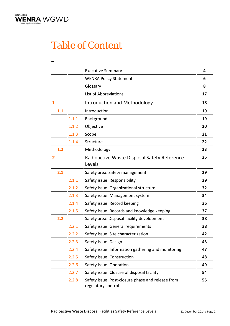

### Table of Content

|     |       | <b>Executive Summary</b>                                                | 4  |
|-----|-------|-------------------------------------------------------------------------|----|
|     |       | <b>WENRA Policy Statement</b>                                           | 6  |
|     |       | Glossary                                                                | 8  |
|     |       | List of Abbreviations                                                   | 17 |
| 1   |       | Introduction and Methodology                                            | 18 |
| 1.1 |       | Introduction                                                            | 19 |
|     | 1.1.1 | Background                                                              | 19 |
|     | 1.1.2 | Objective                                                               | 20 |
|     | 1.1.3 | Scope                                                                   | 21 |
|     | 1.1.4 | Structure                                                               | 22 |
| 1.2 |       | Methodology                                                             | 23 |
| 2   |       | Radioactive Waste Disposal Safety Reference<br>Levels                   | 25 |
| 2.1 |       | Safety area: Safety management                                          | 29 |
|     | 2.1.1 | Safety issue: Responsibility                                            | 29 |
|     | 2.1.2 | Safety issue: Organizational structure                                  | 32 |
|     | 2.1.3 | Safety issue: Management system                                         | 34 |
|     | 2.1.4 | Safety issue: Record keeping                                            | 36 |
|     | 2.1.5 | Safety issue: Records and knowledge keeping                             | 37 |
| 2.2 |       | Safety area: Disposal facility development                              | 38 |
|     | 2.2.1 | Safety issue: General requirements                                      | 38 |
|     | 2.2.2 | Safety issue: Site characterization                                     | 42 |
|     | 2.2.3 | Safety issue: Design                                                    | 43 |
|     | 2.2.4 | Safety issue: Information gathering and monitoring                      | 47 |
|     | 2.2.5 | Safety issue: Construction                                              | 48 |
|     | 2.2.6 | Safety issue: Operation                                                 | 49 |
|     | 2.2.7 | Safety issue: Closure of disposal facility                              | 54 |
|     | 2.2.8 | Safety issue: Post-closure phase and release from<br>regulatory control | 55 |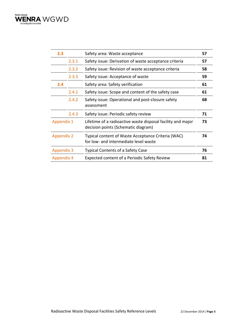

| 2.3               |       | Safety area: Waste acceptance                                                                      | 57 |
|-------------------|-------|----------------------------------------------------------------------------------------------------|----|
|                   | 2.3.1 | Safety issue: Derivation of waste acceptance criteria                                              | 57 |
|                   | 2.3.2 | Safety issue: Revision of waste acceptance criteria                                                | 58 |
|                   | 2.3.3 | Safety issue: Acceptance of waste                                                                  | 59 |
| 2.4               |       | Safety area: Safety verification                                                                   | 61 |
|                   | 2.4.1 | Safety issue: Scope and content of the safety case                                                 | 61 |
|                   | 2.4.2 | Safety issue: Operational and post-closure safety<br>assessment                                    | 68 |
|                   | 2.4.3 | Safety issue: Periodic safety review                                                               | 71 |
| <b>Appendix 1</b> |       | Lifetime of a radioactive waste disposal facility and major<br>decision points (Schematic diagram) | 73 |
| <b>Appendix 2</b> |       | Typical content of Waste Acceptance Criteria (WAC)<br>for low- and intermediate level waste        | 74 |
| <b>Appendix 3</b> |       | <b>Typical Contents of a Safety Case</b>                                                           | 76 |
| <b>Appendix 4</b> |       | Expected content of a Periodic Safety Review                                                       | 81 |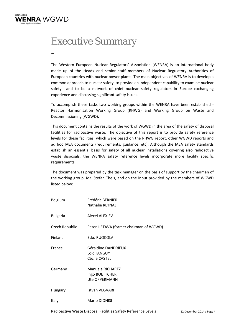

-

### Executive Summary

The Western European Nuclear Regulators' Association (WENRA) is an international body made up of the Heads and senior staff members of Nuclear Regulatory Authorities of European countries with nuclear power plants. The main objectives of WENRA is to develop a common approach to nuclear safety, to provide an independent capability to examine nuclear safety and to be a network of chief nuclear safety regulators in Europe exchanging experience and discussing significant safety issues.

To accomplish these tasks two working groups within the WENRA have been established ‐ Reactor Harmonisation Working Group (RHWG) and Working Group on Waste and Decommissioning (WGWD).

This document contains the results of the work of WGWD in the area of the safety of disposal facilities for radioactive waste. The objective of this report is to provide safety reference levels for these facilities, which were based on the RHWG report, other WGWD reports and ad hoc IAEA documents (requirements, guidance, etc). Although the IAEA safety standards establish an essential basis for safety of all nuclear installations covering also radioactive waste disposals, the WENRA safety reference levels incorporate more facility specific requirements.

The document was prepared by the task manager on the basis of support by the chairman of the working group, Mr. Stefan Theis, and on the input provided by the members of WGWD listed below:

| Belgium         | Frédéric BERNIER<br><b>Nathalie REYNAL</b>          |
|-----------------|-----------------------------------------------------|
| <b>Bulgaria</b> | Alexei ALEXIEV                                      |
| Czech Republic  | Peter LIETAVA (former chairman of WGWD)             |
| Finland         | Esko RUOKOLA                                        |
| France          | Géraldine DANDRIEUX<br>Loïc TANGUY<br>Cécile CASTEL |
| Germany         | Manuela RICHARTZ<br>Ingo BOETTCHER<br>Ute OPPERMANN |
| Hungary         | István VEGVARI                                      |
| Italy           | <b>Mario DIONISI</b>                                |

Radioactive Waste Disposal Facilities Safety Reference Levels 22 December 2014 / **Page 4**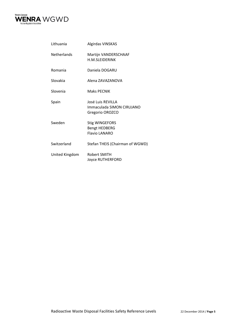

| Lithuania          | Algirdas VINSKAS                                                      |
|--------------------|-----------------------------------------------------------------------|
| <b>Netherlands</b> | Martijn VANDERSCHAAF<br><b>H.M.SLFIDFRINK</b>                         |
| Romania            | Daniela DOGARU                                                        |
| Slovakia           | Alena ZAVAZANOVA                                                      |
| Slovenia           | Maks PFCNIK                                                           |
| Spain              | José Luis REVILLA<br>Immaculada SIMON CIRUJANO<br>Gregorio OROZCO     |
| Sweden             | <b>Stig WINGEFORS</b><br><b>Bengt HEDBERG</b><br><b>Flavio LANARO</b> |
| Switzerland        | Stefan THEIS (Chairman of WGWD)                                       |
| United Kingdom     | Robert SMITH<br>Joyce RUTHERFORD                                      |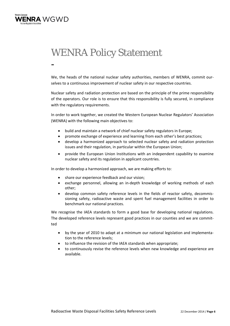

-

### WENRA Policy Statement

We, the heads of the national nuclear safety authorities, members of WENRA, commit ourselves to a continuous improvement of nuclear safety in our respective countries.

Nuclear safety and radiation protection are based on the principle of the prime responsibility of the operators. Our role is to ensure that this responsibility is fully secured, in compliance with the regulatory requirements.

In order to work together, we created the Western European Nuclear Regulators' Association (WENRA) with the following main objectives to:

- build and maintain a network of chief nuclear safety regulators in Europe;
- promote exchange of experience and learning from each other's best practices;
- develop a harmonized approach to selected nuclear safety and radiation protection issues and their regulation, in particular within the European Union;
- provide the European Union Institutions with an independent capability to examine nuclear safety and its regulation in applicant countries.

In order to develop a harmonized approach, we are making efforts to:

- share our experience feedback and our vision;
- exchange personnel, allowing an in-depth knowledge of working methods of each other;
- develop common safety reference levels in the fields of reactor safety, decommis‐ sioning safety, radioactive waste and spent fuel management facilities in order to benchmark our national practices.

We recognise the IAEA standards to form a good base for developing national regulations. The developed reference levels represent good practices in our counties and we are committed

- by the year of 2010 to adapt at a minimum our national legislation and implementa‐ tion to the reference levels;
- to influence the revision of the IAEA standards when appropriate;
- to continuously revise the reference levels when new knowledge and experience are available.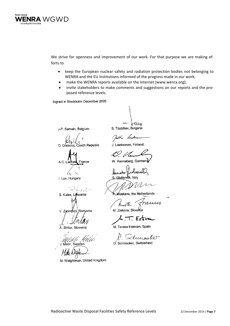

We strive for openness and improvement of our work. For that purpose we are making efforts to

- keep the European nuclear safety and radiation protection bodies not belonging to WENRA and the EU Institutions informed of the progress made in our work;
- make the WENRA reports available on the Internet (www.wenra.org);
- invite stakeholders to make comments and suggestions on our reports and the pro‐ posed reference levels.

Signed in Stockholm December 2005

J-P. Samain, Belgium

.<br>zech Republic D. Drabc

France  $A-C$ 

 $\alpha$ I. Lux, Hungary

 $\sqrt{3}$ S. Kutas, Lithuania

Romania V. Zsombori

Stritar, Slovenia

UM J. Melin, Sweden

M. Weightman, United Kingdom

-ouu S. Tzotchev, Bulgaria

Justha Lacknow

J. Laaksonen, Finland

12. V lem

W. Renneberg, Germany

Giuliandlli, Ita

 $M$ üskens, the Netherlands

amin M. Ziakova, Slovakia

 $\mu$  . T. Este

M. Teresa Estevan, Spain

demoder Schmocker, Switzerland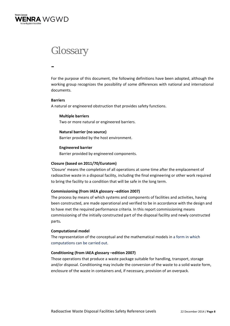

### **Glossary**

-

For the purpose of this document, the following definitions have been adopted, although the working group recognizes the possibility of some differences with national and international documents.

### **Barriers**

A natural or engineered obstruction that provides safety functions.

**Multiple barriers** Two or more natural or engineered barriers.

### **Natural barrier (no source)**

Barrier provided by the host environment.

### **Engineered barrier**

Barrier provided by engineered components.

### **Closure (based on 2011/70/Euratom)**

'Closure' means the completion of all operations at some time after the emplacement of radioactive waste in a disposal facility, including the final engineering or other work required to bring the facility to a condition that will be safe in the long term.

### **Commissioning (from IAEA glossary –edition 2007)**

The process by means of which systems and components of facilities and activities, having been constructed, are made operational and verified to be in accordance with the design and to have met the required performance criteria. In this report commissioning means commissioning of the initially constructed part of the disposal facility and newly constructed parts*.*

### **Computational model**

The representation of the conceptual and the mathematical models in a form in which computations can be carried out.

### **Conditioning (from IAEA glossary –edition 2007)**

Those operations that produce a waste package suitable for handling, transport, storage and/or disposal. Conditioning may include the conversion of the waste to a solid waste form, enclosure of the waste in containers and, if necessary, provision of an overpack.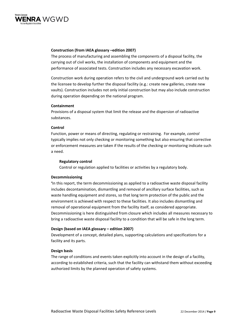

### **Construction (from IAEA glossary –edition 2007)**

The process of manufacturing and assembling the components of a disposal facility, the carrying out of civil works, the installation of components and equipment and the performance of associated tests. Construction includes any necessary excavation work.

Construction work during operation refers to the civil and underground work carried out by the licensee to develop further the disposal facility (e.g.: create new galleries, create new vaults). Construction includes not only initial construction but may also include construction during operation depending on the national program.

### **Containment**

Provisions of a disposal system that limit the release and the dispersion of radioactive substances.

### **Control**

Function, power or means of directing, regulating or restraining. For example, *control* typically implies not only checking or monitoring something but also ensuring that corrective or enforcement measures are taken if the results of the checking or monitoring indicate such a need.

### **Regulatory control**

Control or regulation applied to facilities or activities by a regulatory body.

### **Decommissioning**

**'**In this report, the term decommissioning as applied to a radioactive waste disposal facility includes decontamination, dismantling and removal of ancillary surface facilities, such as waste handling equipment and stores, so that long term protection of the public and the environment is achieved with respect to these facilities. It also includes dismantling and removal of operational equipment from the facility itself, as considered appropriate. Decommissioning is here distinguished from closure which includes all measures necessary to bring a radioactive waste disposal facility to a condition that will be safe in the long term.

### **Design (based on IAEA glossary – edition 2007)**

Development of a concept, detailed plans, supporting calculations and specifications for a facility and its parts.

### **Design basis**

The range of conditions and events taken explicitly into account in the design of a facility, according to established criteria, such that the facility can withstand them without exceeding authorized limits by the planned operation of safety systems.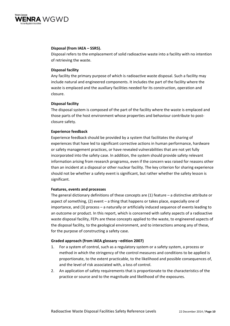

### **Disposal (from IAEA – SSR5).**

Disposal refers to the emplacement of solid radioactive waste into a facility with no intention of retrieving the waste.

### **Disposal facility**

Any facility the primary purpose of which is radioactive waste disposal. Such a facility may include natural and engineered components. It includes the part of the facility where the waste is emplaced and the auxiliary facilities needed for its construction, operation and closure.

### **Disposal facility**

The disposal system is composed of the part of the facility where the waste is emplaced and those parts of the host environment whose properties and behaviour contribute to post‐ closure safety.

### **Experience feedback**

Experience feedback should be provided by a system that facilitates the sharing of experiences that have led to significant corrective actions in human performance, hardware or safety management practices, or have revealed vulnerabilities that are not yet fully incorporated into the safety case. In addition, the system should provide safety relevant information arising from research programss, even if the concern was raised for reasons other than an incident at a disposal or other nuclear facility. The key criterion for sharing experience should not be whether a safety event is significant, but rather whether the safety lesson is significant.

### **Features, events and processes**

The general dictionary definitions of these concepts are (1) feature – a distinctive attribute or aspect of something, (2) event – a thing that happens or takes place, especially one of importance, and (3) process – a naturally or artificially induced sequence of events leading to an outcome or product. In this report, which is concerned with safety aspects of a radioactive waste disposal facility, FEPs are these concepts applied to the waste, to engineered aspects of the disposal facility, to the geological environment, and to interactions among any of these, for the purpose of constructing a safety case.

### **Graded approach (from IAEA glossary –edition 2007)**

- 1. For a system of control, such as a regulatory system or a safety system, a process or method in which the stringency of the control measures and conditions to be applied is proportionate, to the extent practicable, to the likelihood and possible consequences of, and the level of risk associated with, a loss of control.
- 2. An application of safety requirements that is proportionate to the characteristics of the practice or source and to the magnitude and likelihood of the exposures.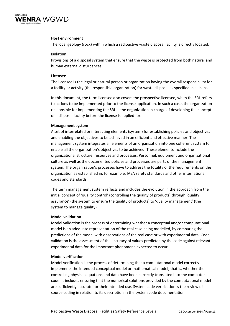

### **Host environment**

The local geology (rock) within which a radioactive waste disposal facility is directly located.

### **Isolation**

Provisions of a disposal system that ensure that the waste is protected from both natural and human external disturbances.

### **Licensee**

The licensee is the legal or natural person or organization having the overall responsibility for a facility or activity (the responsible organization) for waste disposal as specified in a license.

In this document, the term licensee also covers the prospective licensee, when the SRL refers to actions to be implemented prior to the license application. In such a case, the organization responsible for implementing the SRL is the organization in charge of developing the concept of a disposal facility before the license is applied for.

### **Management system**

A set of interrelated or interacting elements (system) for establishing policies and objectives and enabling the objectives to be achieved in an efficient and effective manner. The management system integrates all elements of an organization into one coherent system to enable all the organization's objectives to be achieved. These elements include the organizational structure, resources and processes. Personnel, equipment and organizational culture as well as the documented policies and processes are parts of the management system. The organization's processes have to address the totality of the requirements on the organization as established in, for example, IAEA safety standards and other international codes and standards.

The term management system reflects and includes the evolution in the approach from the initial concept of 'quality control' (controlling the quality of products) through 'quality assurance' (the system to ensure the quality of products) to 'quality management' (the system to manage quality).

### **Model validation**

Model validation is the process of determining whether a conceptual and/or computational model is an adequate representation of the real case being modelled, by comparing the predictions of the model with observations of the real case or with experimental data. Code validation is the assessment of the accuracy of values predicted by the code against relevant experimental data for the important phenomena expected to occur.

### **Model verification**

Model verification is the process of determining that a computational model correctly implements the intended conceptual model or mathematical model; that is, whether the controlling physical equations and data have been correctly translated into the computer code. It includes ensuring that the numerical solutions provided by the computational model are sufficiently accurate for their intended use. System code verification is the review of source coding in relation to its description in the system code documentation.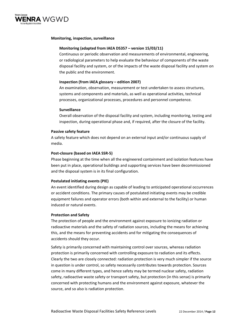

### **Monitoring, inspection, surveillance**

### **Monitoring (adapted from IAEA DS357 – version 15/03/11)**

Continuous or periodic observation and measurements of environmental, engineering, or radiological parameters to help evaluate the behaviour of components of the waste disposal facility and system, or of the impacts of the waste disposal facility and system on the public and the environment.

### **Inspection (from IAEA glossary – edition 2007)**

An examination, observation, measurement or test undertaken to assess structures, systems and components and materials, as well as operational activities, technical processes, organizational processes, procedures and personnel competence.

### **Surveillance**

Overall observation of the disposal facility and system, including monitoring, testing and inspection, during operational phase and, if required, after the closure of the facility.

### **Passive safety feature**

A safety feature which does not depend on an external input and/or continuous supply of media.

### **Post‐closure (based on IAEA SSR‐5)**

Phase beginning at the time when all the engineered containment and isolation features have been put in place, operational buildings and supporting services have been decommissioned and the disposal system is in its final configuration.

### **Postulated initiating events (PIE)**

An event identified during design as capable of leading to anticipated operational occurrences or accident conditions. The primary causes of postulated initiating events may be credible equipment failures and operator errors (both within and external to the facility) or human induced or natural events.

### **Protection and Safety**

The protection of people and the environment against exposure to ionizing radiation or radioactive materials and the safety of radiation sources, including the means for achieving this, and the means for preventing accidents and for mitigating the consequences of accidents should they occur.

Safety is primarily concerned with maintaining control over sources, whereas radiation protection is primarily concerned with controlling exposure to radiation and its effects. Clearly the two are closely connected: radiation protection is very much simpler if the source in question is under control, so safety necessarily contributes towards protection. Sources come in many different types, and hence safety may be termed nuclear safety, radiation safety, radioactive waste safety or transport safety, but protection (in this sense) is primarily concerned with protecting humans and the environment against exposure, whatever the source, and so also is radiation protection.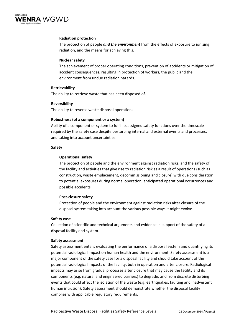

### **Radiation protection**

The protection of people *and the environment* from the effects of exposure to ionizing radiation, and the means for achieving this.

### **Nuclear safety**

The achievement of proper operating conditions, prevention of accidents or mitigation of accident consequences, resulting in protection of workers, the public and the environment from undue radiation hazards.

### **Retrievability**

The ability to retrieve waste that has been disposed of.

### **Reversibility**

The ability to reverse waste disposal operations.

### **Robustness (of a component or a system)**

Ability of a component or system to fulfil its assigned safety functions over the timescale required by the safety case despite perturbing internal and external events and processes, and taking into account uncertainties.

### **Safety**

### **Operational safety**

The protection of people and the environment against radiation risks, and the safety of the facility and activities that give rise to radiation risk as a result of operations (such as construction, waste emplacement, decommissioning and closure) with due consideration to potential exposures during normal operation, anticipated operational occurrences and possible accidents.

### **Post‐closure safety**

Protection of people and the environment against radiation risks after closure of the disposal system taking into account the various possible ways it might evolve.

### **Safety case**

Collection of scientific and technical arguments and evidence in support of the safety of a disposal facility and system.

### **Safety assessment**

Safety assessment entails evaluating the performance of a disposal system and quantifying its potential radiological impact on human health and the environment. Safety assessment is a major component of the safety case for a disposal facility and should take account of the potential radiological impacts of the facility, both in operation and after closure. Radiological impacts may arise from gradual processes after closure that may cause the facility and its components (e.g. natural and engineered barriers) to degrade, and from discrete disturbing events that could affect the isolation of the waste (e.g. earthquakes, faulting and inadvertent human intrusion). Safety assessment should demonstrate whether the disposal facility complies with applicable regulatory requirements.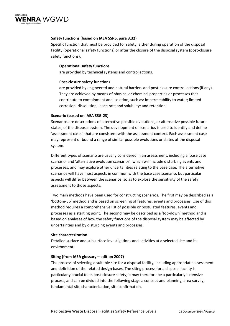

### **Safety functions (based on IAEA SSR5, para 3.32)**

Specific function that must be provided for safety, either during operation of the disposal facility (operational safety functions) or after the closure of the disposal system (post‐closure safety functions).

### **Operational safety functions**

are provided by technical systems and control actions.

### **Post‐closure safety functions**

are provided by engineered and natural barriers and post-closure control actions (if any). They are achieved by means of physical or chemical properties or processes that contribute to containment and isolation, such as: impermeability to water; limited corrosion, dissolution, leach rate and solubility; and retention.

### **Scenario (based on IAEA SSG‐23)**

Scenarios are descriptions of alternative possible evolutions, or alternative possible future states, of the disposal system. The development of scenarios is used to identify and define 'assessment cases' that are consistent with the assessment context. Each assessment case may represent or bound a range of similar possible evolutions or states of the disposal system.

Different types of scenario are usually considered in an assessment, including a 'base case scenario' and 'alternative evolution scenarios', which will include disturbing events and processes, and may explore other uncertainties relating to the base case. The alternative scenarios will have most aspects in common with the base case scenario, but particular aspects will differ between the scenarios, so as to explore the sensitivity of the safety assessment to those aspects.

Two main methods have been used for constructing scenarios. The first may be described as a 'bottom‐up' method and is based on screening of features, events and processes. Use of this method requires a comprehensive list of possible or postulated features, events and processes as a starting point. The second may be described as a 'top‐down' method and is based on analyses of how the safety functions of the disposal system may be affected by uncertainties and by disturbing events and processes.

### **Site characterization**

Detailed surface and subsurface investigations and activities at a selected site and its environment.

### **Siting (from IAEA glossary – edition 2007)**

The process of selecting a suitable site for a disposal facility, including appropriate assessment and definition of the related design bases. The siting process for a disposal facility is particularly crucial to its post‐closure safety; it may therefore be a particularly extensive process, and can be divided into the following stages: concept and planning, area survey, fundamental site characterization, site confirmation.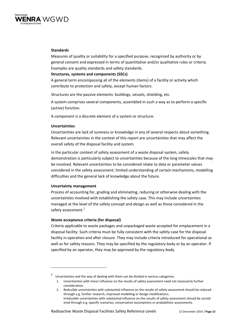

### **Standards**

Measures of quality or suitability for a specified purpose, recognized by authority or by general consent and expressed in terms of quantitative and/or qualitative rules or criteria. Examples are quality standards and safety standards.

### **Structures, systems and components (SSCs)**

A general term encompassing all of the elements (items) of a facility or activity which contribute to protection and safety, except human factors.

Structures are the passive elements: buildings, vessels, shielding, etc.

A system comprises several components, assembled in such a way as to perform a specific (active) function.

A component is a discrete element of a system or structure.

### **Uncertainties**

Uncertainties are lack of sureness or knowledge in any of several respects about something. Relevant uncertainties in the context of this report are uncertainties that may affect the overall safety of the disposal facility and system.

In the particular context of safety assessment of a waste disposal system, safety demonstration is particularly subject to uncertainties because of the long timescales that may be involved. Relevant uncertainties to be considered relate to data or parameter values considered in the safety assessment; limited understanding of certain mechanisms, modelling difficulties and the general lack of knowledge about the future.

### **Uncertainty management**

Process of accounting for, grading and eliminating, reducing or otherwise dealing with the uncertainties involved with establishing the safety case. This may include uncertainties managed at the level of the safety concept and design as well as those considered in the safety assessment.<sup>1</sup>

### **Waste acceptance criteria (for disposal)**

Criteria applicable to waste packages and unpackaged waste accepted for emplacement in a disposal facility. Such criteria must be fully consistent with the safety case for the disposal facility in operation and after closure. They may include criteria introduced for operational as well as for safety reasons. They may be specified by the regulatory body or by an operator. If specified by an operator, they may be approved by the regulatory body.

**<sup>1</sup>** Uncertainties and the way of dealing with them can be divided in various categories:

<sup>1.</sup> Uncertainties with minor influence on the results of safety assessment need not necessarily further consideration.

<sup>2.</sup> Reducible uncertainties with substantial influence on the results of safety assessment should be reduced through e.g. further research, improved modelling or design modifications. Irreducible uncertainties with substantial influence on the results of safety assessment should be consid‐ ered through e.g. specific scenarios, conservative assumptions or probabilistic assessments.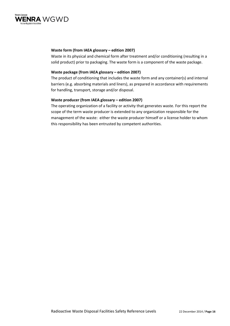

### **Waste form (from IAEA glossary – edition 2007)**

Waste in its physical and chemical form after treatment and/or conditioning (resulting in a solid product) prior to packaging. The waste form is a component of the waste package.

### **Waste package (from IAEA glossary – edition 2007)**

The product of conditioning that includes the waste form and any container(s) and internal barriers (e.g. absorbing materials and liners), as prepared in accordance with requirements for handling, transport, storage and/or disposal.

### **Waste producer (from IAEA glossary – edition 2007)**

The operating organization of a facility or activity that generates waste. For this report the scope of the term waste producer is extended to any organization responsible for the management of the waste: either the waste producer himself or a license holder to whom this responsibility has been entrusted by competent authorities.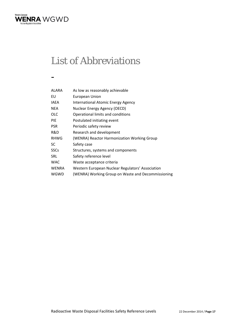

### List of Abbreviations

-

| ALARA       | As low as reasonably achievable                    |
|-------------|----------------------------------------------------|
| EU          | European Union                                     |
| IAEA        | International Atomic Energy Agency                 |
| NEA         | Nuclear Energy Agency (OECD)                       |
| OLC         | Operational limits and conditions                  |
| PIE         | Postulated initiating event                        |
| PSR         | Periodic safety review                             |
| R&D         | Research and development                           |
| <b>RHWG</b> | (WENRA) Reactor Harmonization Working Group        |
| SC          | Safety case                                        |
| SSCs        | Structures, systems and components                 |
| SRL         | Safety reference level                             |
| WAC         | Waste acceptance criteria                          |
| WENRA       | Western European Nuclear Regulators' Association   |
| WGWD        | (WENRA) Working Group on Waste and Decommissioning |
|             |                                                    |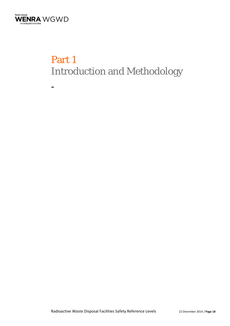

-

# Part 1 Introduction and Methodology

Radioactive Waste Disposal Facilities Safety Reference Levels 22 December 2014 / **Page 18**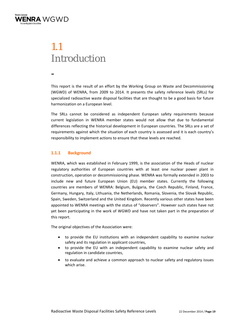

### 1.1 Introduction

-

This report is the result of an effort by the Working Group on Waste and Decommissioning (WGWD) of WENRA, from 2009 to 2014. It presents the safety reference levels (SRLs) for specialized radioactive waste disposal facilities that are thought to be a good basis for future harmonization on a European level.

The SRLs cannot be considered as independent European safety requirements because current legislation in WENRA member states would not allow that due to fundamental differences reflecting the historical development in European countries. The SRLs are a set of requirements against which the situation of each country is assessed and it is each country's responsibility to implement actions to ensure that these levels are reached.

### **1.1.1 Background**

WENRA, which was established in February 1999, is the association of the Heads of nuclear regulatory authorities of European countries with at least one nuclear power plant in construction, operation or decommissioning phase. WENRA was formally extended in 2003 to include new and future European Union (EU) member states. Currently the following countries are members of WENRA: Belgium, Bulgaria, the Czech Republic, Finland, France, Germany, Hungary, Italy, Lithuania, the Netherlands, Romania, Slovenia, the Slovak Republic, Spain, Sweden, Switzerland and the United Kingdom. Recently various other states have been appointed to WENRA meetings with the status of "observers". However such states have not yet been participating in the work of WGWD and have not taken part in the preparation of this report.

The original objectives of the Association were:

- to provide the EU institutions with an independent capability to examine nuclear safety and its regulation in applicant countries,
- to provide the EU with an independent capability to examine nuclear safety and regulation in candidate countries,
- to evaluate and achieve a common approach to nuclear safety and regulatory issues which arise.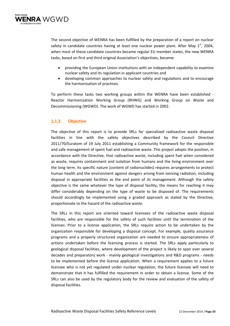

The second objective of WENRA has been fulfilled by the preparation of a report on nuclear safety in candidate countries having at least one nuclear power plant. After May  $1<sup>st</sup>$ , 2004, when most of these candidate countries became regular EU member states, the new WENRA tasks, based on first and third original Association's objectives, became:

- providing the European Union institutions with an independent capability to examine nuclear safety and its regulation in applicant countries and
- developing common approaches to nuclear safety and regulations and to encourage the harmonization of practices.

To perform these tasks two working groups within the WENRA have been established ‐ Reactor Harmonization Working Group (RHWG) and Working Group on Waste and Decommissioning (WGWD). The work of WGWD has started in 2002.

### **1.1.2 Objective**

The objective of this report is to provide SRLs for specialized radioactive waste disposal facilities in line with the safety objectives described by the Council Directive 2011/70/Euratom of 19 July 2011 establishing a Community framework for the responsible and safe management of spent fuel and radioactive waste. This project adopts the position, in accordance with the Directive, that radioactive waste, including spent fuel when considered as waste, requires containment and isolation from humans and the living environment over the long term. Its specific nature (content of radionuclides) requires arrangements to protect human health and the environment against dangers arising from ionizing radiation, including disposal in appropriate facilities as the end point of its management. Although the safety objective is the same whatever the type of disposal facility, the means for reaching it may differ considerably depending on the type of waste to be disposed of. The requirements should accordingly be implemented using a graded approach as stated by the Directive, proportionate to the hazard of the radioactive waste.

The SRLs in this report are oriented toward licensees of the radioactive waste disposal facilities, who are responsible for the safety of such facilities until the termination of the licenses. Prior to a license application, the SRLs require action to be undertaken by the organization responsible for developing a disposal concept. For example, quality assurance programs and a properly structured organization are needed to ensure appropriateness of actions undertaken before the licensing process is started. The SRLs apply particularly to geological disposal facilities, where development of the project is likely to span over several decades and preparatory work - mainly geological investigations and R&D programs - needs to be implemented before the license application. When a requirement applies to a future licensee who is not yet regulated under nuclear regulation, the future licensee will need to demonstrate that it has fulfilled the requirement in order to obtain a license. Some of the SRLs can also be used by the regulatory body for the review and evaluation of the safety of disposal facilities.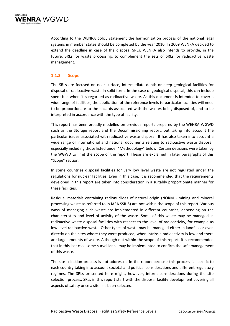

According to the WENRA policy statement the harmonization process of the national legal systems in member states should be completed by the year 2010. In 2009 WENRA decided to extend the deadline in case of the disposal SRLs. WENRA also intends to provide, in the future, SRLs for waste processing, to complement the sets of SRLs for radioactive waste management.

### **1.1.3 Scope**

The SRLs are focused on near surface, intermediate depth or deep geological facilities for disposal of radioactive waste in solid form. In the case of geological disposal, this can include spent fuel when it is regarded as radioactive waste. As this document is intended to cover a wide range of facilities, the application of the reference levels to particular facilities will need to be proportionate to the hazards associated with the wastes being disposed of, and to be interpreted in accordance with the type of facility.

This report has been broadly modelled on previous reports prepared by the WENRA WGWD such as the Storage report and the Decommissioning report, but taking into account the particular issues associated with radioactive waste disposal. It has also taken into account a wide range of international and national documents relating to radioactive waste disposal, especially including those listed under "Methodology" below. Certain decisions were taken by the WGWD to limit the scope of the report. These are explained in later paragraphs of this "Scope" section.

In some countries disposal facilities for very low level waste are not regulated under the regulations for nuclear facilities. Even in this case, it is recommended that the requirements developed in this report are taken into consideration in a suitably proportionate manner for these facilities.

Residual materials containing radionuclides of natural origin (NORM - mining and mineral processing waste as referred to in IAEA SSR‐5) are not within the scope of this report. Various ways of managing such waste are implemented in different countries, depending on the characteristics and level of activity of the waste. Some of this waste may be managed in radioactive waste disposal facilities with respect to the level of radioactivity, for example as low‐level radioactive waste. Other types of waste may be managed either in landfills or even directly on the sites where they were produced, when intrinsic radioactivity is low and there are large amounts of waste. Although not within the scope of this report, it is recommended that in this last case some surveillance may be implemented to confirm the safe management of this waste.

The site selection process is not addressed in the report because this process is specific to each country taking into account societal and political considerations and different regulatory regimes. The SRLs presented here might, however, inform considerations during the site selection process. SRLs in this report start with the disposal facility development covering all aspects of safety once a site has been selected.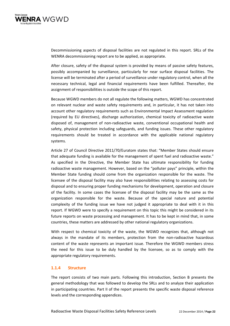

Decommissioning aspects of disposal facilities are not regulated in this report. SRLs of the WENRA decommissioning report are to be applied, as appropriate.

After closure, safety of the disposal system is provided by means of passive safety features, possibly accompanied by surveillance, particularly for near surface disposal facilities. The license will be terminated after a period of surveillance under regulatory control, when all the necessary technical, legal and financial requirements have been fulfilled. Thereafter, the assignment of responsibilities is outside the scope of this report.

Because WGWD members do not all regulate the following matters, WGWD has concentrated on relevant nuclear and waste safety requirements and, in particular, it has not taken into account other regulatory requirements such as Environmental Impact Assessment regulation (required by EU directives), discharge authorization, chemical toxicity of radioactive waste disposed of, management of non‐radioactive waste, conventional occupational health and safety, physical protection including safeguards, and funding issues. These other regulatory requirements should be treated in accordance with the applicable national regulatory systems.

Article 27 of Council Directive 2011/70/Euratom states that: "Member States should ensure that adequate funding is available for the management of spent fuel and radioactive waste." As specified in the Directive, the Member State has ultimate responsibility for funding radioactive waste management. However, based on the "polluter pays" principle, within the Member State funding should come from the organization responsible for the waste. The licensee of the disposal facility may also have responsibilities relating to assessing costs for disposal and to ensuring proper funding mechanisms for development, operation and closure of the facility. In some cases the licensee of the disposal facility may be the same as the organization responsible for the waste. Because of the special nature and potential complexity of the funding issue we have not judged it appropriate to deal with it in this report. If WGWD were to specify a requirement on this topic this might be considered in its future reports on waste processing and management. It has to be kept in mind that, in some countries, these matters are addressed by other national regulatory organizations.

With respect to chemical toxicity of the waste, the WGWD recognizes that, although not always in the mandate of its members, protection from the non-radioactive hazardous content of the waste represents an important issue. Therefore the WGWD members stress the need for this issue to be duly handled by the licensee, so as to comply with the appropriate regulatory requirements.

### **1.1.4 Structure**

The report consists of two main parts. Following this introduction, Section B presents the general methodology that was followed to develop the SRLs and to analyze their application in participating countries. Part II of the report presents the specific waste disposal reference levels and the corresponding appendices.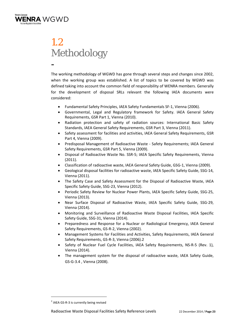

### 1.2 Methodology -

The working methodology of WGWD has gone through several steps and changes since 2002, when the working group was established. A list of topics to be covered by WGWD was defined taking into account the common field of responsibility of WENRA members. Generally for the development of disposal SRLs relevant the following IAEA documents were considered:

- Fundamental Safety Principles, IAEA Safety Fundamentals SF‐1, Vienna (2006).
- Governmental, Legal and Regulatory framework for Safety. IAEA General Safety Requirements, GSR Part 1, Vienna (2010).
- Radiation protection and safety of radiation sources: International Basic Safety Standards, IAEA General Safety Requirements, GSR Part 3, Vienna (2011).
- Safety assessment for facilities and activities, IAEA General Safety Requirements, GSR Part 4, Vienna (2009).
- Predisposal Management of Radioactive Waste ‐ Safety Requirements; IAEA General Safety Requirements, GSR Part 5, Vienna (2009).
- Disposal of Radioactive Waste No. SSR‐5; IAEA Specific Safety Requirements, Vienna (2011).
- Classification of radioactive waste, IAEA General Safety Guide, GSG‐1, Vienna (2009).
- Geological disposal facilities for radioactive waste, IAEA Specific Safety Guide, SSG‐14, Vienna (2011).
- The Safety Case and Safety Assessment for the Disposal of Radioactive Waste, IAEA Specific Safety Guide, SSG‐23, Vienna (2012).
- Periodic Safety Review for Nuclear Power Plants, IAEA Specific Safety Guide, SSG-25, Vienna (2013).
- Near Surface Disposal of Radioactive Waste, IAEA Specific Safety Guide, SSG‐29, Vienna (2014).
- Monitoring and Surveillance of Radioactive Waste Disposal Facilities, IAEA Specific Safety Guide, SSG‐31, Vienna (2014).
- Preparedness and Response for a Nuclear or Radiological Emergency, IAEA General Safety Requirements, GS‐R‐2, Vienna (2002).
- Management Systems for Facilities and Activities, Safety Requirements, IAEA General Safety Requirements, GS‐R‐3, Vienna (2006).2
- Safety of Nuclear Fuel Cycle Facilities, IAEA Safety Requirements, NS‐R‐5 (Rev. 1), Vienna (2014).
- The management system for the disposal of radioactive waste, IAEA Safety Guide, GS‐G‐3.4 , Vienna (2008).

  $<sup>2</sup>$  IAEA GS-R-3 is currently being revised</sup>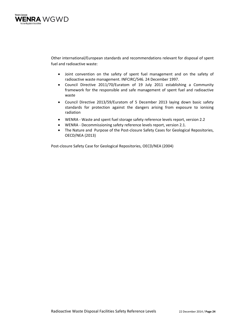

Other international/European standards and recommendations relevant for disposal of spent fuel and radioactive waste:

- Joint convention on the safety of spent fuel management and on the safety of radioactive waste management. INFCIRC/546. 24 December 1997.
- Council Directive 2011/70/Euratom of 19 July 2011 establishing a Community framework for the responsible and safe management of spent fuel and radioactive waste
- Council Directive 2013/59/Euratom of 5 December 2013 laying down basic safety standards for protection against the dangers arising from exposure to ionising radiation
- WENRA ‐ Waste and spent fuel storage safety reference levels report, version 2.2
- WENRA ‐ Decommissioning safety reference levels report, version 2.1.
- The Nature and Purpose of the Post-closure Safety Cases for Geological Repositories, OECD/NEA (2013)

Post‐closure Safety Case for Geological Repositories, OECD/NEA (2004)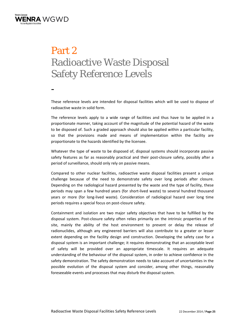

# Part 2 Radioactive Waste Disposal Safety Reference Levels

-

These reference levels are intended for disposal facilities which will be used to dispose of radioactive waste in solid form.

The reference levels apply to a wide range of facilities and thus have to be applied in a proportionate manner, taking account of the magnitude of the potential hazard of the waste to be disposed of. Such a graded approach should also be applied within a particular facility, so that the provisions made and means of implementation within the facility are proportionate to the hazards identified by the licensee.

Whatever the type of waste to be disposed of, disposal systems should incorporate passive safety features as far as reasonably practical and their post-closure safety, possibly after a period of surveillance, should only rely on passive means.

Compared to other nuclear facilities, radioactive waste disposal facilities present a unique challenge because of the need to demonstrate safety over long periods after closure. Depending on the radiological hazard presented by the waste and the type of facility, these periods may span a few hundred years (for short‐lived waste) to several hundred thousand years or more (for long‐lived waste). Consideration of radiological hazard over long time periods requires a special focus on post‐closure safety.

Containment and isolation are two major safety objectives that have to be fulfilled by the disposal system. Post‐closure safety often relies primarily on the intrinsic properties of the site, mainly the ability of the host environment to prevent or delay the release of radionuclides, although any engineered barriers will also contribute to a greater or lesser extent depending on the facility design and construction. Developing the safety case for a disposal system is an important challenge; it requires demonstrating that an acceptable level of safety will be provided over an appropriate timescale. It requires an adequate understanding of the behaviour of the disposal system, in order to achieve confidence in the safety demonstration. The safety demonstration needs to take account of uncertainties in the possible evolution of the disposal system and consider, among other things, reasonably foreseeable events and processes that may disturb the disposal system.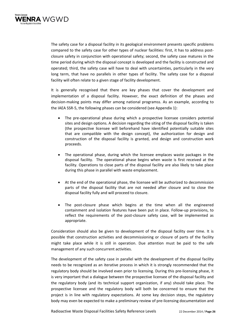

The safety case for a disposal facility in its geological environment presents specific problems compared to the safety case for other types of nuclear facilities: first, it has to address postclosure safety in conjunction with operational safety; second, the safety case matures in the time period during which the disposal concept is developed and the facility is constructed and operated; third, the safety case will have to deal with uncertainties, particularly in the very long term, that have no parallels in other types of facility. The safety case for a disposal facility will often relate to a given stage of facility development.

It is generally recognised that there are key phases that cover the development and implementation of a disposal facility. However, the exact definition of the phases and decision‐making points may differ among national programss. As an example, according to the IAEA SSR‐5, the following phases can be considered (see Appendix 1):

- The pre‐operational phase during which a prospective licensee considers potential sites and design options. A decision regarding the siting of the disposal facility is taken (the prospective licensee will beforehand have identified potentially suitable sites that are compatible with the design concept), the authorization for design and construction of the disposal facility is granted, and design and construction work proceeds.
- The operational phase, during which the licensee emplaces waste packages in the disposal facility. The operational phase begins when waste is first received at the facility. Operations to close parts of the disposal facility are also likely to take place during this phase in parallel with waste emplacement.
- At the end of the operational phase, the licensee will be authorized to decommission parts of the disposal facility that are not needed after closure and to close the disposal facility fully and will proceed to closure.
- The post-closure phase which begins at the time when all the engineered containment and isolation features have been put in place. Follow‐up provisions, to reflect the requirements of the post‐closure safety case, will be implemented as appropriate.

Consideration should also be given to development of the disposal facility over time. It is possible that construction activities and decommissioning or closure of parts of the facility might take place while it is still in operation. Due attention must be paid to the safe management of any such concurrent activities.

The development of the safety case in parallel with the development of the disposal facility needs to be recognized as an iterative process in which it is strongly recommended that the regulatory body should be involved even prior to licensing. During this pre‐licensing phase, it is very important that a dialogue between the prospective licensee of the disposal facility and the regulatory body (and its technical support organization, if any) should take place. The prospective licensee and the regulatory body will both be concerned to ensure that the project is in line with regulatory expectations. At some key decision steps, the regulatory body may even be expected to make a preliminary review of pre‐licensing documentation and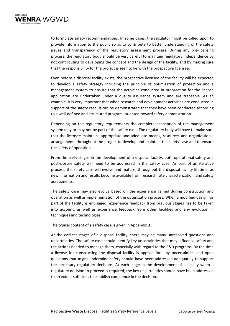

to formulate safety recommendations. In some cases, the regulator might be called upon to provide information to the public so as to contribute to better understanding of the safety issues and transparency of the regulatory assessment process. During any pre‐licensing process, the regulatory body should be very careful to maintain regulatory independence by not contributing to developing the concept and the design of the facility, and by making sure that the responsibility for the project is seen to lie with the prospective licensee.

Even before a disposal facility exists, the prospective licensee of the facility will be expected to develop a safety strategy including the principle of optimization of protection and a management system to ensure that the activities conducted in preparation for the license application are undertaken under a quality assurance system and are traceable. As an example, it is very important that when research and development activities are conducted in support of the safety case, it can be demonstrated that they have been conducted according to a well-defined and structured program, oriented toward safety demonstration.

Depending on the regulatory requirements the complete description of the management system may or may not be part of the safety case. The regulatory body will have to make sure that the licensee maintains appropriate and adequate means, resources and organizational arrangements throughout the project to develop and maintain the safety case and to ensure the safety of operations.

From the early stages in the development of a disposal facility, both operational safety and post-closure safety will need to be addressed in the safety case. As part of an iterative process, the safety case will evolve and mature, throughout the disposal facility lifetime, as new information and results become available from research, site characterization, and safety assessments.

The safety case may also evolve based on the experience gained during construction and operation as well as implementation of the optimization process. When a modified design for part of the facility is envisaged, experience feedback from previous stages has to be taken into account, as well as experience feedback from other facilities and any evolution in techniques and technologies.

The typical content of a safety case is given in Appendix 3.

At the earliest stages of a disposal facility, there may be many unresolved questions and uncertainties. The safety case should identify key uncertainties that may influence safety and the actions needed to manage them, especially with regard to the R&D programs. By the time a license for constructing the disposal facility is applied for, any uncertainties and open questions that might undermine safety should have been addressed adequately to support the necessary regulatory decisions. At each stage in the development of a facility when a regulatory decision to proceed is required, the key uncertainties should have been addressed to an extent sufficient to establish confidence in the decision.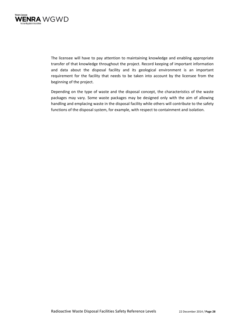

The licensee will have to pay attention to maintaining knowledge and enabling appropriate transfer of that knowledge throughout the project. Record keeping of important information and data about the disposal facility and its geological environment is an important requirement for the facility that needs to be taken into account by the licensee from the beginning of the project.

Depending on the type of waste and the disposal concept, the characteristics of the waste packages may vary. Some waste packages may be designed only with the aim of allowing handling and emplacing waste in the disposal facility while others will contribute to the safety functions of the disposal system, for example, with respect to containment and isolation.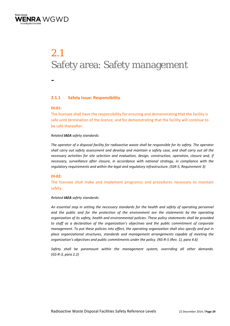

# 2.1 Safety area: Safety management

-

### **2.1.1 Safety issue: Responsibility**

### **DI‐01:**

The licensee shall have the responsibility for ensuring and demonstrating that the facility is safe until termination of the licence, and for demonstrating that the facility will continue to be safe thereafter.

### *Related IAEA safety standards:*

The operator of a disposal facility for radioactive waste shall be responsible for its safety. The operator shall carry out safety assessment and develop and maintain a safety case, and shall carry out all the *necessary activities for site selection and evaluation, design, construction, operation, closure and, if necessary, surveillance after closure, in accordance with national strategy, in compliance with the regulatory requirements and within the legal and regulatory infrastructure. (SSR‐5, Requirement 3)*

### **DI‐02:**

The licensee shall make and implement programss and procedures necessary to maintain safety.

### *Related IAEA safety standards:*

*An essential step in setting the necessary standards for the health and safety of operating personnel and the public and for the protection of the environment are the statements by the operating organization of its safety, health and environmental policies. These policy statements shall be provided to staff as a declaration of the organization's objectives and the public commitment of corporate management. To put these policies into effect, the operating organization shall also specify and put in place organizational structures, standards and management arrangements capable of meeting the organization's objectives and public commitments under the policy. (NS‐R‐5 (Rev. 1), para 4.6)* 

*Safety shall be paramount within the management system, overriding all other demands. (GS‐R‐3, para 2.2)*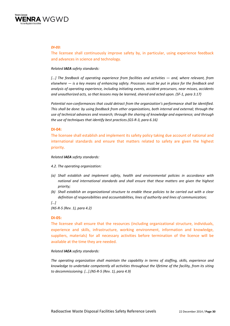

### *DI‐03:*

The licensee shall continuously improve safety by, in particular, using experience feedback and advances in science and technology.

### *Related IAEA safety standards:*

*[...] The feedback of operating experience from facilities and activities — and, where relevant, from* elsewhere  $-$  is a key means of enhancing safety. Processes must be put in place for the feedback and *analysis of operating experience, including initiating events, accident precursors, near misses, accidents and unauthorized acts, so that lessons may be learned, shared and acted upon. (SF‐1, para 3.17)*

*Potential non‐conformances that could detract from the organization's performance shall be identified. This shall be done: by using feedback from other organizations, both internal and external; through the use of technical advances and research; through the sharing of knowledge and experience; and through the use of techniques that identify best practices.(GS‐R‐3, para 6.16)*

### **DI‐04:**

The licensee shall establish and implement its safety policy taking due account of national and international standards and ensure that matters related to safety are given the highest priority.

### *Related IAEA safety standards:*

- *4.2. The operating organization:*
- *(a) Shall establish and implement safety, health and environmental policies in accordance with national and international standards and shall ensure that these matters are given the highest priority;*
- (b) Shall establish an organizational structure to enable these policies to be carried out with a clear *definition of responsibilities and accountabilities, lines of authority and lines of communication;*
- *[…]*

*(NS‐R‐5 (Rev. 1), para 4.2)*

### **DI‐05:**

The licensee shall ensure that the resources (including organizational structure, individuals, experience and skills, infrastructure, working environment, information and knowledge, suppliers, materials) for all necessary activities before termination of the licence will be available at the time they are needed.

### *Related IAEA safety standards:*

*The operating organization shall maintain the capability in terms of staffing, skills, experience and knowledge to undertake competently all activities throughout the lifetime of the facility, from its siting to decommissioning. […].(NS‐R‐5 (Rev. 1), para 4.9)*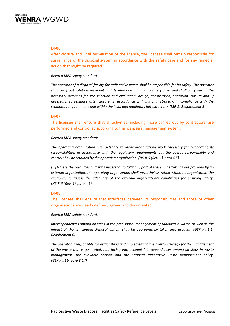

### **DI‐06:**

After closure and until termination of the licence, the licensee shall remain responsible for surveillance of the disposal system in accordance with the safety case and for any remedial action that might be required.

### *Related IAEA safety standards:*

The operator of a disposal facility for radioactive waste shall be responsible for its safety. The operator shall carry out safety assessment and develop and maintain a safety case, and shall carry out all the *necessary activities for site selection and evaluation, design, construction, operation, closure and, if necessary, surveillance after closure, in accordance with national strategy, in compliance with the regulatory requirements and within the legal and regulatory infrastructure. (SSR‐5, Requirement 3)*

### **DI‐07:**

The licensee shall ensure that all activities, including those carried out by contractors, are performed and controlled according to the licensee's management system.

### *Related IAEA safety standards:*

*The operating organization may delegate to other organizations work necessary for discharging its responsibilities, in accordance with the regulatory requirements but the overall responsibility and control shall be retained by the operating organization. (NS‐R‐5 (Rev. 1), para 4.5)*

[...] Where the resources and skills necessary to fulfil any part of these undertakings are provided by an *external organization, the operating organization shall nevertheless retain within its organization the capability to assess the adequacy of the external organization's capabilities for ensuring safety. (NS‐R‐5 (Rev. 1), para 4.9)*

### **DI‐08:**

The licensee shall ensure that interfaces between its responsibilities and those of other organizations are clearly defined, agreed and documented.

### *Related IAEA safety standards:*

*Interdependences among all steps in the predisposal management of radioactive waste, as well as the impact of the anticipated disposal option, shall be appropriately taken into account. (GSR Part 5, Requirement 6)*

*The operator is responsible for establishing and implementing the overall strategy for the management of the waste that is generated, […], taking into account interdependences among all steps in waste management, the available options and the national radioactive waste management policy. (GSR Part 5, para 3.17)*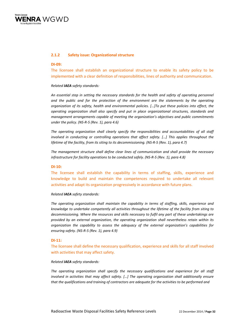

### **2.1.2 Safety issue: Organizational structure**

### **DI‐09:**

The licensee shall establish an organizational structure to enable its safety policy to be implemented with a clear definition of responsibilities, lines of authority and communication.

### *Related IAEA safety standards:*

*An essential step in setting the necessary standards for the health and safety of operating personnel and the public and for the protection of the environment are the statements by the operating organization of its safety, health and environmental policies. […]To put these policies into effect, the operating organization shall also specify and put in place organizational structures, standards and management arrangements capable of meeting the organization's objectives and public commitments under the policy. (NS‐R‐5 (Rev. 1), para 4.6)*

*The operating organization shall clearly specify the responsibilities and accountabilities of all staff involved in conducting or controlling operations that affect safety. […] This applies throughout the* lifetime of the facility, from its siting to its decommissioning. (NS-R-5 (Rev. 1), para 4.7)

*The management structure shall define clear lines of communication and shall provide the necessary infrastructure for facility operations to be conducted safely. (NS‐R‐5 (Rev. 1), para 4.8)*

### **DI‐10:**

The licensee shall establish the capability in terms of staffing, skills, experience and knowledge to build and maintain the competences required to undertake all relevant activities and adapt its organization progressively in accordance with future plans.

### *Related IAEA safety standards:*

*The operating organization shall maintain the capability in terms of staffing, skills, experience and knowledge to undertake competently all activities throughout the lifetime of the facility from siting to decommissioning. Where the resources and skills necessary to fulfil any part of these undertakings are provided by an external organization, the operating organization shall nevertheless retain within its organization the capability to assess the adequacy of the external organization's capabilities for ensuring safety. (NS‐R‐5 (Rev. 1), para 4.9)*

### **DI‐11:**

The licensee shall define the necessary qualification, experience and skills for all staff involved with activities that may affect safety.

#### *Related IAEA safety standards:*

*The operating organization shall specify the necessary qualifications and experience for all staff involved in activities that may affect safety. […] The operating organization shall additionally ensure that the qualifications and training of contractors are adequate for the activities to be performed and*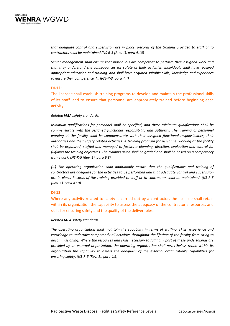

*that adequate control and supervision are in place. Records of the training provided to staff or to contractors shall be maintained (NS‐R‐5 (Rev. 1), para 4.10)*

*Senior management shall ensure that individuals are competent to perform their assigned work and that they understand the consequences for safety of their activities. Individuals shall have received appropriate education and training, and shall have acquired suitable skills, knowledge and experience to ensure their competence. [...](GS‐R‐3, para 4.4)*

### **DI‐12:**

The licensee shall establish training programs to develop and maintain the professional skills of its staff, and to ensure that personnel are appropriately trained before beginning each activity.

### *Related IAEA safety standards:*

*Minimum qualifications for personnel shall be specified, and these minimum qualifications shall be commensurate with the assigned functional responsibility and authority. The training of personnel working at the facility shall be commensurate with their assigned functional responsibilities, their authorities and their safety related activities. A training program for personnel working at the facility shall be organized, staffed and managed to facilitate planning, direction, evaluation and control for fulfilling the training objectives. The training given shall be graded and shall be based on a competency framework. (NS‐R‐5 (Rev. 1), para 9.8)* 

*[…] The operating organization shall additionally ensure that the qualifications and training of contractors are adequate for the activities to be performed and that adequate control and supervision* are in place. Records of the training provided to staff or to contractors shall be maintained. (NS-R-5 *(Rev. 1), para 4.10)* 

### **DI‐13**:

Where any activity related to safety is carried out by a contractor, the licensee shall retain within its organization the capability to assess the adequacy of the contractor's resources and skills for ensuring safety and the quality of the deliverables.

### *Related IAEA safety standards:*

*The operating organization shall maintain the capability in terms of staffing, skills, experience and knowledge to undertake competently all activities throughout the lifetime of the facility from siting to decommissioning. Where the resources and skills necessary to fulfil any part of these undertakings are provided by an external organization, the operating organization shall nevertheless retain within its organization the capability to assess the adequacy of the external organization's capabilities for ensuring safety. (NS‐R‐5 (Rev. 1), para 4.9)*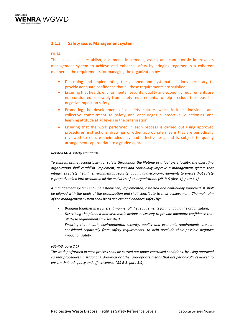

### **2.1.3 Safety issue: Management system**

### **DI‐14:**

The licensee shall establish, document, implement, assess and continuously improve its management system to achieve and enhance safety by bringing together in a coherent manner all the requirements for managing the organization by:

- Describing and implementing the planned and systematic actions necessary to provide adequate confidence that all these requirements are satisfied;
- Ensuring that health, environmental, security, quality and economic requirements are not considered separately from safety requirements, to help preclude their possible negative impact on safety;
- Promoting the development of a safety culture, which includes individual and collective commitment to safety and encourages a proactive, questioning and learning attitude at all levels in the organization;
- Ensuring that the work performed in each process is carried out using approved procedures, instructions, drawings or other appropriate means that are periodically reviewed to ensure their adequacy and effectiveness, and is subject to quality arrangements appropriate to a graded approach.

### *Related IAEA safety standards:*

To fulfil its prime responsibility for safety throughout the lifetime of a fuel cycle facility, the operating *organization shall establish, implement, assess and continually improve a management system that integrates safety, health, environmental, security, quality and economic elements to ensure that safety* is properly taken into account in all the activities of an organization. (NS-R-5 (Rev. 1), para 4.1)

*A management system shall be established, implemented, assessed and continually improved. It shall be aligned with the goals of the organization and shall contribute to their achievement. The main aim of the management system shall be to achieve and enhance safety by:*

- ‐ *Bringing together in a coherent manner all the requirements for managing the organization;*
- ‐ *Describing the planned and systematic actions necessary to provide adequate confidence that all these requirements are satisfied;*
- ‐ *Ensuring that health, environmental, security, quality and economic requirements are not considered separately from safety requirements, to help preclude their possible negative impact on safety.*

### *(GS‐R‐3, para 2.1)*

*The work performed in each process shall be carried out under controlled conditions, by using approved current procedures, instructions, drawings or other appropriate means that are periodically reviewed to ensure their adequacy and effectiveness. (GS‐R‐3, para 5.9)*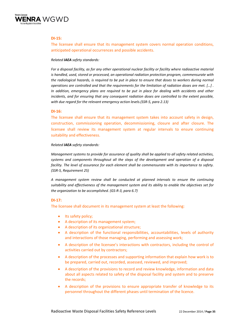

### **DI‐15:**

The licensee shall ensure that its management system covers normal operation conditions, anticipated operational occurrences and possible accidents.

### *Related IAEA safety standards:*

*For a disposal facility, as for any other operational nuclear facility or facility where radioactive material is handled, used, stored or processed, an operational radiation protection program, commensurate with* the radiological hazards, is required to be put in place to ensure that doses to workers during normal *operations are controlled and that the requirements for the limitation of radiation doses are met. […] . In addition, emergency plans are required to be put in place for dealing with accidents and other incidents, and for ensuring that any consequent radiation doses are controlled to the extent possible, with due regard for the relevant emergency action levels.(SSR‐5, para 2.13)*

### **DI‐16:**

The licensee shall ensure that its management system takes into account safety in design, construction, commissioning operation, decommissioning, closure and after closure. The licensee shall review its management system at regular intervals to ensure continuing suitability and effectiveness.

### *Related IAEA safety standards:*

*Management systems to provide for assurance of quality shall be applied to all safety related activities, systems and components throughout all the steps of the development and operation of a disposal facility. The level of assurance for each element shall be commensurate with its importance to safety. (SSR‐5, Requirement 25)*

*A management system review shall be conducted at planned intervals to ensure the continuing suitability and effectiveness of the management system and its ability to enable the objectives set for the organization to be accomplished. (GS‐R‐3, para 6.7)*

### **DI‐17:**

The licensee shall document in its management system at least the following:

- Its safety policy;
- A description of its management system;
- A description of its organizational structure;
- A description of the functional responsibilities, accountabilities, levels of authority and interactions of those managing, performing and assessing work;
- A description of the licensee's interactions with contractors, including the control of activities carried out by contractors;
- A description of the processes and supporting information that explain how work is to be prepared, carried out, recorded, assessed, reviewed, and improved;
- A description of the provisions to record and review knowledge, information and data about all aspects related to safety of the disposal facility and system and to preserve the records;
- A description of the provisions to ensure appropriate transfer of knowledge to its personnel throughout the different phases until termination of the licence.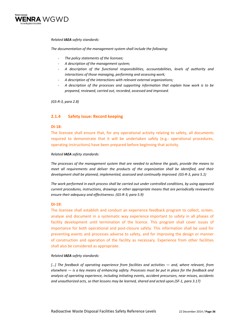

### *Related IAEA safety standards:*

*The documentation of the management system shall include the following:* 

- ‐ *The policy statements of the licensee;*
- ‐ *A description of the management system;*
- ‐ *A description of the functional responsibilities, accountabilities, levels of authority and interactions of those managing, performing and assessing work;*
- ‐ *A description of the interactions with relevant external organizations;*
- ‐ *A description of the processes and supporting information that explain how work is to be prepared, reviewed, carried out, recorded, assessed and improved.*

*(GS‐R‐3, para 2.8)*

### **2.1.4 Safety issue: Record keeping**

### **DI‐18:**

The licensee shall ensure that, for any operational activity relating to safety, all documents required to demonstrate that it will be undertaken safely (e.g.: operational procedures, operating instructions) have been prepared before beginning that activity.

### *Related IAEA safety standards:*

*The processes of the management system that are needed to achieve the goals, provide the means to meet all requirements and deliver the products of the organization shall be identified, and their development shall be planned, implemented, assessed and continually improved. (GS‐R‐3, para 5.1)*

*The work performed in each process shall be carried out under controlled conditions, by using approved current procedures, instructions, drawings or other appropriate means that are periodically reviewed to ensure their adequacy and effectiveness. (GS‐R‐3; para 5.9)* 

### **DI‐19:**

The licensee shall establish and conduct an experience feedback program to collect, screen, analyse and document in a systematic way experience important to safety in all phases of facility development until termination of the licence. This program shall cover issues of importance for both operational and post‐closure safety. This information shall be used for preventing events and processes adverse to safety, and for improving the design or manner of construction and operation of the facility as necessary. Experience from other facilities shall also be considered as appropriate.

### *Related IAEA safety standards:*

*[…] The feedback of operating experience from facilities and activities — and, where relevant, from* elsewhere  $-$  is a key means of enhancing safety. Processes must be put in place for the feedback and *analysis of operating experience, including initiating events, accident precursors, near misses, accidents and unauthorized acts, so that lessons may be learned, shared and acted upon.(SF‐1, para 3.17)*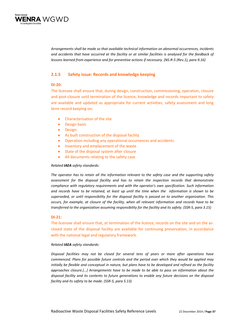

*Arrangements shall be made so that available technical information on abnormal occurrences, incidents* and accidents that have occurred at the facility or at similar facilities is analysed for the feedback of lessons learned from experience and for preventive actions if necessary. (NS-R-5 (Rev.1), para 9.16)

# **2.1.5 Safety issue: Records and knowledge keeping**

# **DI‐20:**

The licensee shall ensure that, during design, construction, commissioning, operation, closure and post-closure until termination of the licence, knowledge and records important to safety are available and updated as appropriate for current activities, safety assessment and long term record keeping on:

- Characterisation of the site
- **•** Design basis
- Design
- As built construction of the disposal facility
- Operation including any operational occurrences and accidents
- Inventory and emplacement of the waste
- State of the disposal system after closure
- All documents relating to the safety case

## *Related IAEA safety standards:*

*The operator has to retain all the information relevant to the safety case and the supporting safety assessment for the disposal facility and has to retain the inspection records that demonstrate compliance with regulatory requirements and with the operator's own specification. Such information* and records have to be retained, at least up until the time when the information is shown to be *superseded, or until responsibility for the disposal facility is passed on to another organization. This occurs, for example, at closure of the facility, when all relevant information and records have to be* transferred to the organization assuming responsibility for the facility and its safety. (SSR-5, para 3.15)

# **DI‐21:**

The licensee shall ensure that, at termination of the licence, records on the site and on the as‐ closed state of the disposal facility are available for continuing preservation, in accordance with the national legal and regulatory framework.

## *Related IAEA safety standards:*

*Disposal facilities may not be closed for several tens of years or more after operations have commenced. Plans for possible future controls and the period over which they would be applied may* initially be flexible and conceptual in nature, but plans have to be developed and refined as the facility *approaches closure.[…] Arrangements have to be made to be able to pass on information about the disposal facility and its contents to future generations to enable any future decisions on the disposal facility and its safety to be made. (SSR‐5, para 5.13)*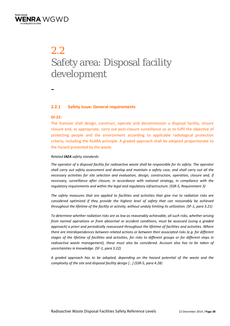

# 2.2 Safety area: Disposal facility development

-

# **2.2.1 Safety issue: General requirements**

#### **DI‐22:**

The licensee shall design, construct, operate and decommission a disposal facility, ensure closure and, as appropriate, carry out post‐closure surveillance so as to fulfil the objective of protecting people and the environment according to applicable radiological protection criteria, including the ALARA principle. A graded approach shall be adopted proportionate to the hazard presented by the waste.

## *Related IAEA safety standards:*

The operator of a disposal facility for radioactive waste shall be responsible for its safety. The operator shall carry out safety assessment and develop and maintain a safety case, and shall carry out all the *necessary activities for site selection and evaluation, design, construction, operation, closure and, if necessary, surveillance after closure, in accordance with national strategy, in compliance with the regulatory requirements and within the legal and regulatory infrastructure. (SSR‐5, Requirement 3)*

*The safety measures that are applied to facilities and activities that give rise to radiation risks are considered optimized if they provide the highest level of safety that can reasonably be achieved* throughout the lifetime of the facility or activity, without unduly limiting its utilization. (SF-1, para 3.21)

*To determine whether radiation risks are as low as reasonably achievable, all such risks, whether arising from normal operations or from abnormal or accident conditions, must be assessed (using a graded approach) a priori and periodically reassessed throughout the lifetime of facilities and activities. Where there are interdependences between related actions or between their associated risks (e.g. for different* stages of the lifetime of facilities and activities, for risks to different groups or for different steps in *radioactive waste management), these must also be considered. Account also has to be taken of uncertainties in knowledge. (SF‐1, para 3.22)*

*A graded approach has to be adopted, depending on the hazard potential of the waste and the complexity of the site and disposal facility design [...] (SSR‐5, para 4.28)*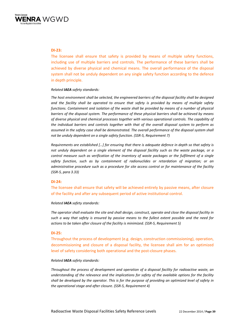

## **DI‐23:**

The licensee shall ensure that safety is provided by means of multiple safety functions, including use of multiple barriers and controls. The performance of these barriers shall be achieved by diverse physical and chemical means. The overall performance of the disposal system shall not be unduly dependent on any single safety function according to the defence in depth principle.

#### *Related IAEA safety standards:*

*The host environment shall be selected, the engineered barriers of the disposal facility shall be designed and the facility shall be operated to ensure that safety is provided by means of multiple safety functions. Containment and isolation of the waste shall be provided by means of a number of physical barriers of the disposal system. The performance of these physical barriers shall be achieved by means of diverse physical and chemical processes together with various operational controls. The capability of the individual barriers and controls together with that of the overall disposal system to perform as assumed in the safety case shall be demonstrated. The overall performance of the disposal system shall not be unduly dependent on a single safety function. (SSR‐5, Requirement 7)*

*Requirements are established […] for ensuring that there is adequate defence in depth so that safety is not unduly dependent on a single element of the disposal facility such as the waste package, or a control measure such as verification of the inventory of waste packages or the fulfilment of a single safety function, such as by containment of radionuclides or retardation of migration; or an administrative procedure such as a procedure for site access control or for maintenance of the facility (SSR‐5, para 3.33)*

## **DI‐24:**

The licensee shall ensure that safety will be achieved entirely by passive means, after closure of the facility and after any subsequent period of active institutional control.

*Related IAEA safety standards:*

The operator shall evaluate the site and shall design, construct, operate and close the disposal facility in such a way that safety is ensured by passive means to the fullest extent possible and the need for *actions to be taken after closure of the facility is minimized. (SSR‐5, Requirement 5)*

#### **DI‐25:**

Throughout the process of development (e.g. design, construction commissioning), operation, decommissioning and closure of a disposal facility, the licensee shall aim for an optimized level of safety considering both operational and the post-closure phases.

#### *Related IAEA safety standards:*

*Throughout the process of development and operation of a disposal facility for radioactive waste, an understanding of the relevance and the implications for safety of the available options for the facility* shall be developed by the operator. This is for the purpose of providing an optimized level of safety in *the operational stage and after closure. (SSR‐5, Requirement 4)*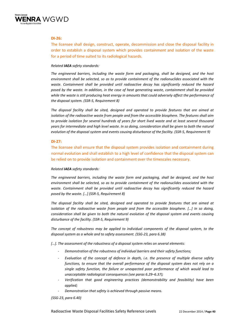

# **DI‐26:**

The licensee shall design, construct, operate, decommission and close the disposal facility in order to establish a disposal system which provides containment and isolation of the waste for a period of time suited to its radiological hazards.

## *Related IAEA safety standards:*

*The engineered barriers, including the waste form and packaging, shall be designed, and the host environment shall be selected, so as to provide containment of the radionuclides associated with the waste. Containment shall be provided until radioactive decay has significantly reduced the hazard posed by the waste. In addition, in the case of heat generating waste, containment shall be provided while the waste is still producing heat energy in amounts that could adversely affect the performance of the disposal system. (SSR‐5, Requirement 8)*

*The disposal facility shall be sited, designed and operated to provide features that are aimed at isolation of the radioactive waste from people and from the accessible biosphere. The features shall aim to provide isolation for several hundreds of years for short lived waste and at least several thousand* years for intermediate and high level waste. In so doing, consideration shall be given to both the natural *evolution of the disposal system and events causing disturbance of the facility. (SSR‐5, Requirement 9)*

## **DI‐27:**

The licensee shall ensure that the disposal system provides isolation and containment during normal evolution and shall establish to a high level of confidence that the disposal system can be relied on to provide isolation and containment over the timescales necessary.

## *Related IAEA safety standards:*

*The engineered barriers, including the waste form and packaging, shall be designed, and the host environment shall be selected, so as to provide containment of the radionuclides associated with the waste. Containment shall be provided until radioactive decay has significantly reduced the hazard posed by the waste. […] (SSR‐5, Requirement 8)*

*The disposal facility shall be sited, designed and operated to provide features that are aimed at isolation of the radioactive waste from people and from the accessible biosphere. […] In so doing, consideration shall be given to both the natural evolution of the disposal system and events causing disturbance of the facility. (SSR‐5, Requirement 9)*

*The concept of robustness may be applied to individual components of the disposal system, to the disposal system as a whole and to safety assessment. (SSG‐23, para 6.38)*

*[…]. The assessment of the robustness of a disposal system relies on several elements:*

- ‐ *Demonstration of the robustness of individual barriers and their safety functions;*
- ‐ *Evaluation of the concept of defence in depth, i.e. the presence of multiple diverse safety functions, to ensure that the overall performance of the disposal system does not rely on a single safety function, the failure or unexpected poor performance of which would lead to unacceptable radiological consequences (see paras 6.29–6.37);*
- ‐ *Verification that good engineering practices (demonstrability and feasibility) have been applied;*
- ‐ *Demonstration that safety is achieved through passive means.*

*(SSG‐23, para 6.40)*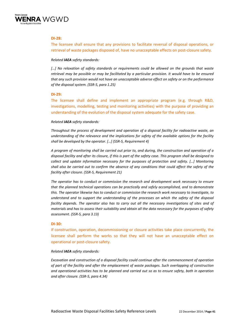

## **DI‐28:**

The licensee shall ensure that any provisions to facilitate reversal of disposal operations, or retrieval of waste packages disposed of, have no unacceptable effects on post-closure safety.

## *Related IAEA safety standards:*

*[…] No relaxation of safety standards or requirements could be allowed on the grounds that waste* retrieval may be possible or may be facilitated by a particular provision. It would have to be ensured *that any such provision would not have an unacceptable adverse effect on safety or on the performance of the disposal system. (SSR‐5, para 1.25)*

## **DI‐29:**

The licensee shall define and implement an appropriate program (e.g. through R&D, investigations, modelling, testing and monitoring activities) with the purpose of providing an understanding of the evolution of the disposal system adequate for the safety case.

## *Related IAEA safety standards:*

*Throughout the process of development and operation of a disposal facility for radioactive waste, an understanding of the relevance and the implications for safety of the available options for the facility shall be developed by the operator. […] (SSR‐5, Requirement 4)* 

A program of monitoring shall be carried out prior to, and during, the construction and operation of  $a$ disposal facility and after its closure, if this is part of the safety case. This program shall be designed to *collect and update information necessary for the purposes of protection and safety. […] Monitoring* shall also be carried out to confirm the absence of any conditions that could affect the safety of the *facility after closure. (SSR‐5, Requirement 21)*

*The operator has to conduct or commission the research and development work necessary to ensure that the planned technical operations can be practically and safely accomplished, and to demonstrate this. The operator likewise has to conduct or commission the research work necessary to investigate, to understand and to support the understanding of the processes on which the safety of the disposal facility depends. The operator also has to carry out all the necessary investigations of sites and of* materials and has to assess their suitability and obtain all the data necessary for the purposes of safety *assessment. (SSR‐5, para 3.13)*

## **DI‐30:**

If construction, operation, decommissioning or closure activities take place concurrently, the licensee shall perform the works so that they will not have an unacceptable effect on operational or post‐closure safety.

## *Related IAEA safety standards:*

*Excavation and construction of a disposal facility could continue after the commencement of operation of part of the facility and after the emplacement of waste packages. Such overlapping of construction* and operational activities has to be planned and carried out so as to ensure safety, both in operation *and after closure. (SSR‐5, para 4.34)*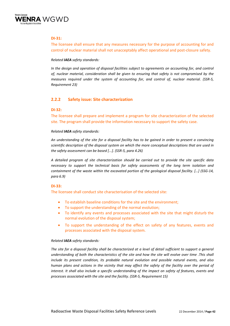

# **DI‐31:**

The licensee shall ensure that any measures necessary for the purpose of accounting for and control of nuclear material shall not unacceptably affect operational and post-closure safety.

## *Related IAEA safety standards:*

*In the design and operation of disposal facilities subject to agreements on accounting for, and control of, nuclear material, consideration shall be given to ensuring that safety is not compromised by the measures required under the system of accounting for, and control of, nuclear material. (SSR‐5, Requirement 23)*

# **2.2.2 Safety issue: Site characterization**

## **DI‐32:**

The licensee shall prepare and implement a program for site characterization of the selected site. The program shall provide the information necessary to support the safety case.

## *Related IAEA safety standards:*

An understanding of the site for a disposal facility has to be gained in order to present a convincing *scientific description of the disposal system on which the more conceptual descriptions that are used in the safety assessment can be based [...]. (SSR‐5, para 4.26)*

*A detailed program of site characterization should be carried out to provide the site specific data necessary to support the technical basis for safety assessments of the long term isolation and containment of the waste within the excavated portion of the geological disposal facility. […] (SSG‐14, para 6.9)*

# **DI‐33:**

The licensee shall conduct site characterisation of the selected site:

- To establish baseline conditions for the site and the environment;
- To support the understanding of the normal evolution;
- To identify any events and processes associated with the site that might disturb the normal evolution of the disposal system;
- To support the understanding of the effect on safety of any features, events and processes associated with the disposal system.

#### *Related IAEA safety standards:*

The site for a disposal facility shall be characterized at a level of detail sufficient to support a general understanding of both the characteristics of the site and how the site will evolve over time . This shall *include its present condition, its probable natural evolution and possible natural events, and also* human plans and actions in the vicinity that may affect the safety of the facility over the period of *interest. It shall also include a specific understanding of the impact on safety of features, events and processes associated with the site and the facility. (SSR‐5, Requirement 15)*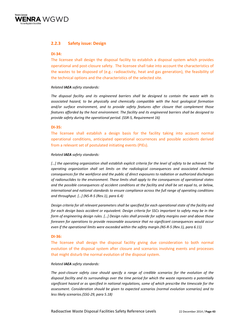

# **2.2.3 Safety issue: Design**

## **DI‐34:**

The licensee shall design the disposal facility to establish a disposal system which provides operational and post‐closure safety. The licensee shall take into account the characteristics of the wastes to be disposed of (e.g.: radioactivity, heat and gas generation), the feasibility of the technical options and the characteristics of the selected site.

## *Related IAEA safety standards:*

*The disposal facility and its engineered barriers shall be designed to contain the waste with its associated hazard, to be physically and chemically compatible with the host geological formation and/or surface environment, and to provide safety features after closure that complement those features afforded by the host environment. The facility and its engineered barriers shall be designed to provide safety during the operational period. (SSR‐5, Requirement 16)*

## **DI‐35:**

The licensee shall establish a design basis for the facility taking into account normal operational conditions, anticipated operational occurrences and possible accidents derived from a relevant set of postulated initiating events (PIEs).

## *Related IAEA safety standards:*

[...] the operating organization shall establish explicit criteria for the level of safety to be achieved. The *operating organization shall set limits on the radiological consequences and associated chemical consequences for the workforce and the public of direct exposures to radiation or authorized discharges of radionuclides to the environment. These limits shall apply to the consequences of operational states* and the possible consequences of accident conditions at the facility and shall be set equal to, or below, *international and national standards to ensure compliance across the full range of operating conditions and throughput. […] (NS‐R‐5 (Rev.1), para 6.4)*

Design criteria for all relevant parameters shall be specified for each operational state of the facility and for each design basis accident or equivalent. Design criteria for SSCs important to safety may be in the *form of engineering design rules. […] Design rules shall provide for safety margins over and above those foreseen for operations to provide reasonable assurance that no significant consequences would occur even if the operational limits were exceeded within the safety margin.(NS‐R‐5 (Rev.1), para 6.11)*

## **DI‐36:**

The licensee shall design the disposal facility giving due consideration to both normal evolution of the disposal system after closure and scenarios involving events and processes that might disturb the normal evolution of the disposal system.

#### *Related IAEA safety standards:*

*The post‐closure safety case should specify a range of credible scenarios for the evolution of the disposal facility and its surroundings over the time period for which the waste represents a potentially significant hazard or as specified in national regulations, some of which prescribe the timescale for the assessment. Consideration should be given to expected scenarios (normal evolution scenarios) and to less likely scenarios.(SSG‐29, para 5.18)*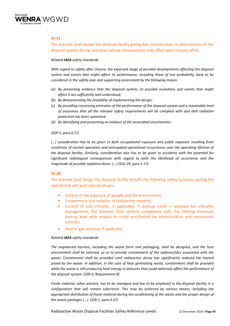

# **DI‐37:**

The licensee shall design the disposal facility giving due consideration to disturbances of the disposal system during operation whose consequences may affect post-closure safety.

## *Related IAEA safety standards:*

*With regard to safety after closure, the expected range of possible developments affecting the disposal system and events that might affect its performance, including those of low probability, have to be considered in the safety case and supporting assessment by the following means:* 

- *(a) By presenting evidence that the disposal system, its possible evolutions and events that might affect it are sufficiently well understood;*
- *(b) By demonstrating the feasibility of implementing the design;*
- *(c) By providing convincing estimates of the performance of the disposal system and a reasonable level of assurance that all the relevant safety requirements will be complied with and that radiation protection has been optimized;*
- *(d) By identifying and presenting an analysis of the associated uncertainties.*

## *(SSR‐5, para 4.17)*

*[…] consideration has to be given to both occupational exposure and public exposure resulting from conditions of normal operation and anticipated operational occurrences over the operating lifetime of the disposal facility. Similarly, consideration also has to be given to accidents with the potential for significant radiological consequences with regard to both the likelihood of occurrence and the magnitude of possible radiation doses. […] (SSG‐29, para 5.17)*

## **DI‐38:**

The licensee shall design the disposal facility to fulfil the following safety functions during the operational and post‐closure phases:

- Control of the exposure of people and the environment;
- Containment and isolation of radioactive material;
- Control of sub‐criticality, if applicable; If burnup credit is adopted for criticality management, the licensee shall confirm compliance with the limiting minimum burnup level with respect to initial enrichment by administrative and operational controls;
- Heat or gas removal, if applicable.

## *Related IAEA safety standards:*

*The engineered barriers, including the waste form and packaging, shall be designed, and the host environment shall be selected, so as to provide containment of the radionuclides associated with the waste. Containment shall be provided until radioactive decay has significantly reduced the hazard posed by the waste. In addition, in the case of heat generating waste, containment shall be provided while the waste is still producing heat energy in amounts that could adversely affect the performance of the disposal system. (SSR‐5, Requirement 8)*

Fissile material, when present, has to be managed and has to be emplaced in the disposal facility in a *configuration that will remain subcritical. This may be achieved by various means, including the appropriate distribution of fissile material during the conditioning of the waste and the proper design of the waste packages [...]. (SSR‐5, para 4.37)*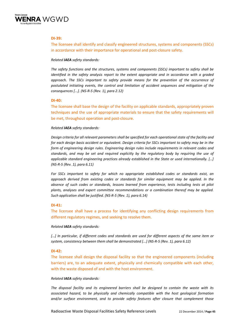

## **DI‐39:**

The licensee shall identify and classify engineered structures, systems and components (SSCs) in accordance with their importance for operational and post-closure safety.

## *Related IAEA safety standards:*

*The safety functions and the structures, systems and components (SSCs) important to safety shall be identified in the safety analysis report to the extent appropriate and in accordance with a graded approach. The SSCs important to safety provide means for the prevention of the occurrence of postulated initiating events, the control and limitation of accident sequences and mitigation of the consequences [...]. (NS‐R‐5 (Rev. 1), para 2.12)*

## **DI‐40:**

The licensee shall base the design of the facility on applicable standards, appropriately proven techniques and the use of appropriate materials to ensure that the safety requirements will be met, throughout operation and post‐closure.

## *Related IAEA safety standards:*

Design criteria for all relevant parameters shall be specified for each operational state of the facility and for each design basis accident or equivalent. Design criteria for SSCs important to safety may be in the *form of engineering design rules. Engineering design rules include requirements in relevant codes and standards, and may be set and required explicitly by the regulatory body by requiring the use of applicable standard engineering practices already established in the State or used internationally. […] (NS‐R‐5 (Rev. 1), para 6.11)*

*For SSCs important to safety for which no appropriate established codes or standards exist, an approach derived from existing codes or standards for similar equipment may be applied. In the absence of such codes or standards, lessons learned from experience, tests including tests at pilot plants, analyses and expert committee recommendations or a combination thereof may be applied. Such application shall be justified. (NS‐R‐5 (Rev. 1), para 6.14)*

## **DI‐41:**

The licensee shall have a process for identifying any conflicting design requirements from different regulatory regimes, and seeking to resolve them.

## *Related IAEA safety standards:*

[...] In particular, if different codes and standards are used for different aspects of the same item or *system, consistency between them shall be demonstrated [...] (NS‐R‐5 (Rev. 1), para 6.12)*

## **DI‐42:**

The licensee shall design the disposal facility so that the engineered components (including barriers) are, to an adequate extent, physically and chemically compatible with each other, with the waste disposed of and with the host environment.

#### *Related IAEA safety standards:*

*The disposal facility and its engineered barriers shall be designed to contain the waste with its associated hazard, to be physically and chemically compatible with the host geological formation and/or surface environment, and to provide safety features after closure that complement those*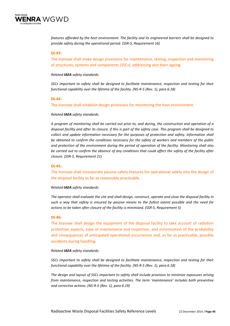

*features afforded by the host environment. The facility and its engineered barriers shall be designed to provide safety during the operational period. (SSR‐5, Requirement 16)*

## **DI‐43:**

The licensee shall make design provisions for maintenance, testing, inspection and monitoring of structures, systems and components (SSCs), addressing also their ageing.

*Related IAEA safety standards:*

*SSCs important to safety shall be designed to facilitate maintenance, inspection and testing for their functional capability over the lifetime of the facility. (NS‐R‐5 (Rev. 1), para 6.18)*

#### **DI‐44:**

The licensee shall establish design provisions for monitoring the host environment.

#### *Related IAEA safety standards:*

A program of monitoring shall be carried out prior to, and during, the construction and operation of a disposal facility and after its closure, if this is part of the safety case. This program shall be designed to *collect and update information necessary for the purposes of protection and safety. Information shall be obtained to confirm the conditions necessary for the safety of workers and members of the public and protection of the environment during the period of operation of the facility. Monitoring shall also* be carried out to confirm the absence of any conditions that could affect the safety of the facility after *closure. (SSR‐5, Requirement 21)*

#### **DI‐45:**

The licensee shall incorporate passive safety features for operational safety into the design of the disposal facility as far as reasonably practicable.

*Related IAEA safety standards:* 

The operator shall evaluate the site and shall design, construct, operate and close the disposal facility in such a way that safety is ensured by passive means to the fullest extent possible and the need for *actions to be taken after closure of the facility is minimized. (SSR‐5, Requirement 5)*

#### **DI‐46:**

The licensee shall design the equipment of the disposal facility to take account of radiation protection aspects, ease of maintenance and inspection, and minimization of the probability and consequences of anticipated operational occurrences and, as far as practicable, possible accidents during handling.

#### *Related IAEA safety standards:*

*SSCs important to safety shall be designed to facilitate maintenance, inspection and testing for their functional capability over the lifetime of the facility. (NS‐R‐5 (Rev. 1), para 6.18)*

*The design and layout of SSCs important to safety shall include provision to minimize exposures arising from maintenance, inspection and testing activities. The term 'maintenance' includes both preventive and corrective actions. (NS‐R‐5 (Rev. 1), para 6.19)*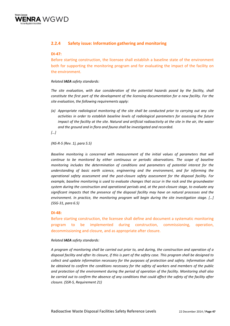

# **2.2.4 Safety issue: Information gathering and monitoring**

## **DI‐47:**

Before starting construction, the licensee shall establish a baseline state of the environment both for supporting the monitoring program and for evaluating the impact of the facility on the environment.

## *Related IAEA safety standards:*

*The site evaluation, with due consideration of the potential hazards posed by the facility, shall constitute the first part of the development of the licensing documentation for a new facility. For the site evaluation, the following requirements apply:*

*(a) Appropriate radiological monitoring of the site shall be conducted prior to carrying out any site activities in order to establish baseline levels of radiological parameters for assessing the future* impact of the facility at the site. Natural and artificial radioactivity at the site in the air, the water *and the ground and in flora and fauna shall be investigated and recorded.* 

*[…]* 

#### *(NS‐R‐5 (Rev. 1), para 5.5)*

*Baseline monitoring is concerned with measurement of the initial values of parameters that will continue to be monitored by either continuous or periodic observations. The scope of baseline monitoring includes the determination of conditions and parameters of potential interest for the understanding of basic earth science, engineering and the environment, and for informing the operational safety assessment and the post‐closure safety assessment for the disposal facility. For example, baseline monitoring is used to evaluate changes that occur in the rock and the groundwater system during the construction and operational periods and, at the post‐closure stage, to evaluate any significant impacts that the presence of the disposal facility may have on natural processes and the environment. In practice, the monitoring program will begin during the site investigation stage. […] (SSG‐31, para 6.5)*

## **DI‐48:**

Before starting construction, the licensee shall define and document a systematic monitoring program to be implemented during construction, commissioning, operation, decommissioning and closure, and as appropriate after closure.

#### *Related IAEA safety standards:*

A program of monitoring shall be carried out prior to, and during, the construction and operation of a disposal facility and after its closure, if this is part of the safety case. This program shall be designed to *collect and update information necessary for the purposes of protection and safety. Information shall be obtained to confirm the conditions necessary for the safety of workers and members of the public and protection of the environment during the period of operation of the facility. Monitoring shall also* be carried out to confirm the absence of any conditions that could affect the safety of the facility after *closure. (SSR‐5, Requirement 21)*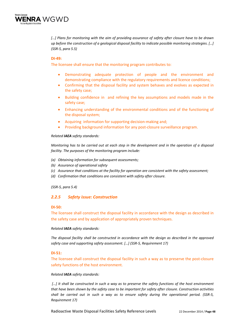

[...] Plans for monitoring with the aim of providing assurance of safety after closure have to be drawn *up before the construction of a geological disposal facility to indicate possible monitoring strategies. […] (SSR‐5, para 5.5)*

## **DI‐49:**

The licensee shall ensure that the monitoring program contributes to:

- Demonstrating adequate protection of people and the environment and demonstrating compliance with the regulatory requirements and licence conditions;
- Confirming that the disposal facility and system behaves and evolves as expected in the safety case;
- Building confidence in and refining the key assumptions and models made in the safety case;
- Enhancing understanding of the environmental conditions and of the functioning of the disposal system;
- Acquiring information for supporting decision‐making and;
- Providing background information for any post-closure surveillance program.

## *Related IAEA safety standards:*

Monitoring has to be carried out at each step in the development and in the operation of a disposal *facility. The purposes of the monitoring program include:*

- *(a) Obtaining information for subsequent assessments;*
- *(b) Assurance of operational safety*
- *(c) Assurance that conditions at the facility for operation are consistent with the safety assessment;*
- *(d) Confirmation that conditions are consistent with safety after closure.*

*(SSR‐5, para 5.4)*

# *2.2.5 Safety issue: Construction*

## **DI‐50:**

The licensee shall construct the disposal facility in accordance with the design as described in the safety case and by application of appropriately proven techniques.

## *Related IAEA safety standards:*

*The disposal facility shall be constructed in accordance with the design as described in the approved safety case and supporting safety assessment. […] (SSR‐5, Requirement 17)*

## **DI‐51:**

The licensee shall construct the disposal facility in such a way as to preserve the post-closure safety functions of the host environment.

#### *Related IAEA safety standards:*

[...] It shall be constructed in such a way as to preserve the safety functions of the host environment *that have been shown by the safety case to be important for safety after closure. Construction activities* shall be carried out in such a way as to ensure safety during the operational period. (SSR-5, *Requirement 17)*

Radioactive Waste Disposal Facilities Safety Reference Levels 22 December 2014 / **Page 48**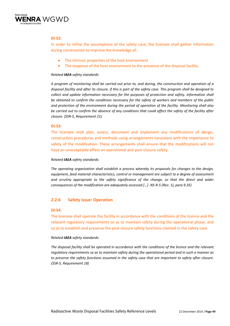

# **DI‐52:**

In order to refine the assumptions of the safety case, the licensee shall gather information during construction to improve the knowledge of:

- The intrinsic properties of the host environment
- The response of the host environment to the presence of the disposal facility.

## *Related IAEA safety standards:*

A program of monitoring shall be carried out prior to, and during, the construction and operation of a disposal facility and after its closure, if this is part of the safety case. This program shall be designed to *collect and update information necessary for the purposes of protection and safety. Information shall be obtained to confirm the conditions necessary for the safety of workers and members of the public and protection of the environment during the period of operation of the facility. Monitoring shall also* be carried out to confirm the absence of any conditions that could affect the safety of the facility after *closure. (SSR‐5, Requirement 21)*

## **DI‐53:**

The licensee shall plan, assess, document and implement any modifications of design, construction procedures and methods using arrangements consistent with the importance to safety of the modification. These arrangements shall ensure that the modifications will not have an unacceptable effect on operational and post-closure safety.

## *Related IAEA safety standards:*

*The operating organization shall establish a process whereby its proposals for changes to the design, equipment, feed material characteristics, control or management are subject to a degree of assessment and scrutiny appropriate to the safety significance of the change, so that the direct and wider consequences of the modification are adequately assessed […] .NS‐R‐5 (Rev. 1), para 9.35)*

# **2.2.6 Safety issue: Operation**

## **DI‐54:**

The licensee shall operate the facility in accordance with the conditions of the licence and the relevant regulatory requirements so as to maintain safety during the operational phase, and so as to establish and preserve the post-closure safety functions claimed in the safety case.

## *Related IAEA safety standards:*

*The disposal facility shall be operated in accordance with the conditions of the licence and the relevant regulatory requirements so as to maintain safety during the operational period and in such a manner as to preserve the safety functions assumed in the safety case that are important to safety after closure. (SSR‐5, Requirement 18)*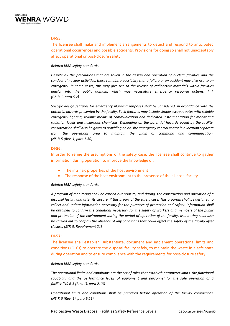

## **DI‐55:**

The licensee shall make and implement arrangements to detect and respond to anticipated operational occurrences and possible accidents. Provisions for doing so shall not unacceptably affect operational or post‐closure safety.

## *Related IAEA safety standards:*

*Despite all the precautions that are taken in the design and operation of nuclear facilities and the* conduct of nuclear activities, there remains a possibility that a failure or an accident may give rise to an *emergency. In some cases, this may give rise to the release of radioactive materials within facilities and/or into the public domain, which may necessitate emergency response actions. […]. (GS‐R‐1, para 6.2)*

*Specific design features for emergency planning purposes shall be considered, in accordance with the potential hazards presented by the facility. Such features may include simple escape routes with reliable emergency lighting, reliable means of communication and dedicated instrumentation for monitoring radiation levels and hazardous chemicals. Depending on the potential hazards posed by the facility,* consideration shall also be given to providing an on-site emergency control centre in a location separate *from the operations area to maintain the chain of command and communication. (NS‐R‐5 (Rev. 1, para 6.30)*

## **DI‐56:**

In order to refine the assumptions of the safety case, the licensee shall continue to gather information during operation to improve the knowledge of:

- The intrinsic properties of the host environment
- The response of the host environment to the presence of the disposal facility.

## *Related IAEA safety standards:*

A program of monitoring shall be carried out prior to, and during, the construction and operation of a disposal facility and after its closure, if this is part of the safety case. This program shall be designed to *collect and update information necessary for the purposes of protection and safety. Information shall be obtained to confirm the conditions necessary for the safety of workers and members of the public and protection of the environment during the period of operation of the facility. Monitoring shall also* be carried out to confirm the absence of any conditions that could affect the safety of the facility after *closure. (SSR‐5, Requirement 21)*

## **DI‐57:**

The licensee shall establish, substantiate, document and implement operational limits and conditions (OLCs) to operate the disposal facility safely, to maintain the waste in a safe state during operation and to ensure compliance with the requirements for post-closure safety.

#### *Related IAEA safety standards:*

*The operational limits and conditions are the set of rules that establish parameter limits, the functional capability and the performance levels of equipment and personnel for the safe operation of a facility.(NS‐R‐5 (Rev. 1), para 2.13)*

*Operational limits and conditions shall be prepared before operation of the facility commences. (NS‐R‐5 (Rev. 1), para 9.21)*

Radioactive Waste Disposal Facilities Safety Reference Levels 22 December 2014 / **Page 50**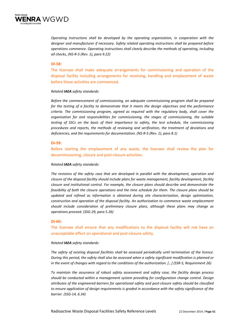

*Operating instructions shall be developed by the operating organization, in cooperation with the designer and manufacturer if necessary. Safety related operating instructions shall be prepared before operations commence. Operating instructions shall clearly describe the methods of operating, including all checks, (NS‐R‐5 (Rev. 1), para 9.22)*

## **DI‐58:**

The licensee shall make adequate arrangements for commissioning and operation of the disposal facility including arrangements for receiving, handling and emplacement of waste before these activities are commenced.

#### *Related IAEA safety standards:*

*Before the commencement of commissioning, an adequate commissioning program shall be prepared for the testing of a facility to demonstrate that it meets the design objectives and the performance criteria. The commissioning program, agreed as required with the regulatory body, shall cover the organization for and responsibilities for commissioning, the stages of commissioning, the suitable testing of SSCs on the basis of their importance to safety, the test schedule, the commissioning procedures and reports, the methods of reviewing and verification, the treatment of deviations and deficiencies, and the requirements for documentation. (NS‐R‐5 (Rev. 1), para 8.1)*

#### **DI‐59:**

Before starting the emplacement of any waste, the licensee shall review the plan for decommissioning, closure and post‐closure activities.

#### *Related IAEA safety standards:*

*The revisions of the safety case that are developed in parallel with the development, operation and closure of the disposal facility should include plans for waste management, facility development, facility closure and institutional control. For example, the closure plans should describe and demonstrate the feasibility of both the closure operations and the time schedule for them. The closure plans should be updated and refined as information is obtained during site characterization, design optimization, construction and operation of the disposal facility. An authorization to commence waste emplacement should include consideration of preliminary closure plans, although these plans may change as operations proceed. (SSG‐29, para 5.26)*

#### **DI‐60:**

The licensee shall ensure that any modifications to the disposal facility will not have an unacceptable effect on operational and post‐closure safety.

#### *Related IAEA safety standards:*

*The safety of existing disposal facilities shall be assessed periodically until termination of the licence.* During this period, the safety shall also be assessed when a safety significant modification is planned or in the event of changes with regard to the conditions of the authorization. [...] (SSR-5, Requirement 26)

*To maintain the assurance of robust safety assessment and safety case, the facility design process should be conducted within a management system providing for configuration change control. Design attributes of the engineered barriers for operational safety and post‐closure safety should be classified to ensure application of design requirements is graded in accordance with the safety significance of the barrier. (SSG‐14, 6.34)*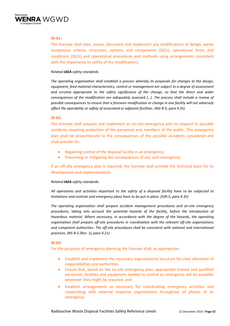

## **DI‐61:**

The licensee shall plan, assess, document and implement any modifications of design, waste acceptance criteria, structures, systems and components (SSCs), operational limits and conditions (OLCs) and operational procedures and methods using arrangements consistent with the importance to safety of the modifications.

## *Related IAEA safety standards:*

*The operating organization shall establish a process whereby its proposals for changes to the design, equipment, feed material characteristics, control or management are subject to a degree of assessment and scrutiny appropriate to the safety significance of the change, so that the direct and wider consequences of the modification are adequately assessed […]. The process shall include a review of possible consequences to ensure that a foreseen modification or change in one facility will not adversely affect the operability or safety of associated or adjacent facilities. (NG‐R‐5, para 9.35)*

## **DI‐62:**

The licensee shall prepare and implement an on-site emergency plan to respond to possible accidents requiring protection of the personnel and members of the public. This emergency plan shall be proportionate to the consequences of the possible accidents considered and shall provide for:

- Regaining control of the disposal facility in an emergency;
- Preventing or mitigating the consequences of any such emergency;

If an off‐site emergency plan is required, the licensee shall provide the technical basis for its development and implementation.

## *Related IAEA safety standards:*

*All operations and activities important to the safety of a disposal facility have to be subjected to limitations and controls and emergency plans have to be put in place. (SSR‐5, para 4.35)*

*The operating organization shall prepare accident management procedures and on‐site emergency procedures, taking into account the potential hazards of the facility, before the introduction of hazardous material. Where necessary, in accordance with the degree of the hazards, the operating organization shall prepare off‐site procedures in coordination with the relevant off‐site organizations and competent authorities. The off‐site procedures shall be consistent with national and international practices. (NS‐R‐5 (Rev. 1), para 4.21)*

# **DI‐63:**

For the purposes of emergency planning the licensee shall, as appropriate:

- Establish and implement the necessary organizational structure for clear allocation of responsibilities and authorities,
- Ensure that, based on the on‐site emergency plan, appropriate trained and qualified personnel, facilities and equipment needed to control an emergency will be available whenever they might be required, and
- Establish arrangements as necessary for coordinating emergency activities and cooperating with external response organizations throughout all phases of an emergency.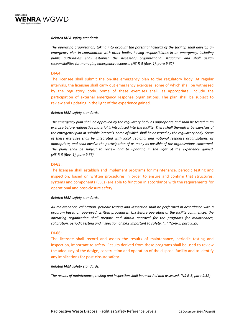

## *Related IAEA safety standards:*

*The operating organization, taking into account the potential hazards of the facility, shall develop an emergency plan in coordination with other bodies having responsibilities in an emergency, including public authorities; shall establish the necessary organizational structure; and shall assign responsibilities for managing emergency response. (NS‐R‐5 (Rev. 1), para 9.62)*

## **DI‐64:**

The licensee shall submit the on-site emergency plan to the regulatory body. At regular intervals, the licensee shall carry out emergency exercises, some of which shall be witnessed by the regulatory body. Some of these exercises shall, as appropriate, include the participation of external emergency response organizations. The plan shall be subject to review and updating in the light of the experience gained.

## *Related IAEA safety standards:*

The emergency plan shall be approved by the regulatory body as appropriate and shall be tested in an *exercise before radioactive material is introduced into the facility. There shall thereafter be exercises of the emergency plan at suitable intervals, some of which shall be observed by the regulatory body. Some of these exercises shall be integrated with local, regional and national response organizations, as appropriate, and shall involve the participation of as many as possible of the organizations concerned. The plans shall be subject to review and to updating in the light of the experience gained. (NS‐R‐5 (Rev. 1), para 9.66)*

## **DI‐65:**

The licensee shall establish and implement programs for maintenance, periodic testing and inspection, based on written procedures in order to ensure and confirm that structures, systems and components (SSCs) are able to function in accordance with the requirements for operational and post‐closure safety.

## *Related IAEA safety standards:*

*All maintenance, calibration, periodic testing and inspection shall be performed in accordance with a program based on approved, written procedures. […] Before operation of the facility commences, the operating organization shall prepare and obtain approval for the programs for maintenance, calibration, periodic testing and inspection of SSCs important to safety. […] (NS‐R‐5, para 9.29)*

#### **DI‐66:**

The licensee shall record and assess the results of maintenance, periodic testing and inspection, important to safety. Results derived from these programs shall be used to review the adequacy of the design, construction and operation of the disposal facility and to identify any implications for post-closure safety.

#### *Related IAEA safety standards:*

The results of maintenance, testing and inspection shall be recorded and assessed. (NS-R-5, para 9.32)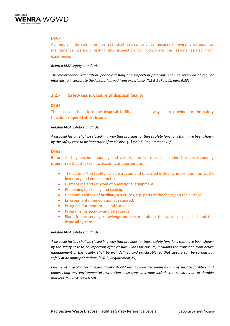

# **DI‐67:**

At regular intervals, the licensee shall review and as necessary revise programs for maintenance, periodic testing and inspection to incorporate the lessons learned from experience.

## *Related IAEA safety standards:*

*The maintenance, calibration, periodic testing and inspection programs shall be reviewed at regular intervals to incorporate the lessons learned from experience. (NS‐R‐5 (Rev. 1), para 9.33)*

# **2.2.7 Safety issue: Closure of disposal facility**

#### **DI‐68:**

The licensee shall close the disposal facility in such a way as to provide for the safety functions required after closure.

## *Related IAEA safety standards:*

A disposal facility shall be closed in a way that provides for those safety functions that have been shown *by the safety case to be important after closure. […] (SSR‐5, Requirement 19)* 

## **DI‐69:**

Before starting decommissioning and closure, the licensee shall define the corresponding program so that it takes into account, as appropriate:

- The state of the facility, as constructed and operated including information on waste inventory and emplacement;
- Dismantling and removal of operational equipment;
- Remaining backfilling and sealing;
- Decommissioning of auxiliary structures, e.g. parts of the facility on the surface;
- Environmental remediation as required;
- Programs for monitoring and surveillance,
- Programs for security and safeguards;
- Plans for preserving knowledge and records about the waste disposed of and the disposal system.

#### *Related IAEA safety standards:*

A disposal facility shall be closed in a way that provides for those safety functions that have been shown *by the safety case to be important after closure. Plans for closure, including the transition from active management of the facility, shall be well defined and practicable, so that closure can be carried out safely at an appropriate time. (SSR‐5, Requirement 19)* 

*Closure of a geological disposal facility should also include decommissioning of surface facilities and undertaking any environmental restoration necessary, and may include the construction of durable markers. (SSG‐14, para 6.59)*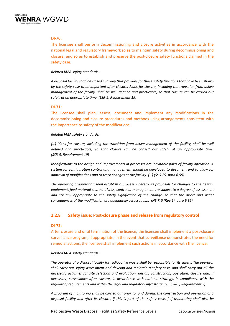

# **DI‐70:**

The licensee shall perform decommissioning and closure activities in accordance with the national legal and regulatory framework so as to maintain safety during decommissioning and closure, and so as to establish and preserve the post‐closure safety functions claimed in the safety case.

## *Related IAEA safety standards:*

A disposal facility shall be closed in a way that provides for those safety functions that have been shown *by the safety case to be important after closure. Plans for closure, including the transition from active management of the facility, shall be well defined and practicable, so that closure can be carried out safely at an appropriate time. (SSR‐5, Requirement 19)*

## **DI‐71:**

The licensee shall plan, assess, document and implement any modifications in the decommissioning and closure procedures and methods using arrangements consistent with the importance to safety of the modifications.

#### *Related IAEA safety standards:*

*[…] Plans for closure, including the transition from active management of the facility, shall be well defined and practicable, so that closure can be carried out safely at an appropriate time. (SSR‐5, Requirement 19)*

*Modifications to the design and improvements in processes are inevitable parts of facility operation. A system for configuration control and management should be developed to document and to allow for approval of modifications and to track changes at the facility. […] (SSG‐29, para 6.59)*

*The operating organization shall establish a process whereby its proposals for changes to the design, equipment, feed material characteristics, control or management are subject to a degree of assessment and scrutiny appropriate to the safety significance of the change, so that the direct and wider consequences of the modification are adequately assessed […]. (NS‐R‐5 (Rev.1), para 9.35)*

# **2.2.8 Safety issue: Post‐closure phase and release from regulatory control**

#### **DI‐72:**

After closure and until termination of the licence, the licensee shall implement a post‐closure surveillance program, if appropriate. In the event that surveillance demonstrates the need for remedial actions, the licensee shall implement such actions in accordance with the licence.

#### *Related IAEA safety standards:*

The operator of a disposal facility for radioactive waste shall be responsible for its safety. The operator shall carry out safety assessment and develop and maintain a safety case, and shall carry out all the *necessary activities for site selection and evaluation, design, construction, operation, closure and, if necessary, surveillance after closure, in accordance with national strategy, in compliance with the regulatory requirements and within the legal and regulatory infrastructure. (SSR‐5, Requirement 3)*

A program of monitoring shall be carried out prior to, and during, the construction and operation of a disposal facility and after its closure, if this is part of the safety case. [...] Monitoring shall also be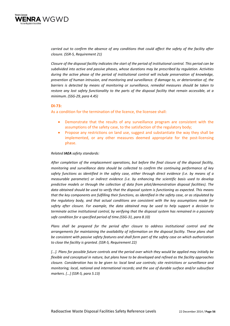

carried out to confirm the absence of any conditions that could affect the safety of the facility after *closure. (SSR‐5, Requirement 21)*

Closure of the disposal facility indicates the start of the period of institutional control. This period can be *subdivided into active and passive phases, whose durations may be prescribed by regulation. Activities during the active phase of the period of institutional control will include preservation of knowledge, prevention of human intrusion, and monitoring and surveillance. If damage to, or deterioration of, the barriers is detected by means of monitoring or surveillance, remedial measures should be taken to restore any lost safety functionality to the parts of the disposal facility that remain accessible, at a minimum. (SSG‐29, para 4.45)*

## **DI‐73:**

As a condition for the termination of the licence, the licensee shall:

- Demonstrate that the results of any surveillance program are consistent with the assumptions of the safety case, to the satisfaction of the regulatory body;
- Propose any restrictions on land use, suggest and substantiate the way they shall be implemented, or any other measures deemed appropriate for the post-licensing phase.

#### *Related IAEA safety standards:*

*After completion of the emplacement operations, but before the final closure of the disposal facility, monitoring and surveillance data should be collected to confirm the continuing performance of key safety functions as identified in the safety case, either through direct evidence (i.e. by means of a measurable parameter) or indirect evidence (i.e. by enhancing the scientific basis used to develop predictive models or through the collection of data from pilot/demonstration disposal facilities). The data obtained should be used to verify that the disposal system is functioning as expected. This means* that the key components are fulfilling their functions, as identified in the safety case, or as stipulated by *the regulatory body, and that actual conditions are consistent with the key assumptions made for safety after closure. For example, the data obtained may be used to help support a decision to terminate active institutional control, by verifying that the disposal system has remained in a passively safe condition for a specified period of time.(SSG‐31, para 8.10)*

*Plans shall be prepared for the period after closure to address institutional control and the arrangements for maintaining the availability of information on the disposal facility. These plans shall be consistent with passive safety features and shall form part of the safety case on which authorization to close the facility is granted. (SSR‐5, Requirement 22)*

[...]. Plans for possible future controls and the period over which they would be applied may initially be *flexible and conceptual in nature, but plans have to be developed and refined as the facility approaches closure. Consideration has to be given to: local land use controls; site restrictions or surveillance and monitoring; local, national and international records; and the use of durable surface and/or subsurface markers. [...] (SSR‐5, para 5.13)*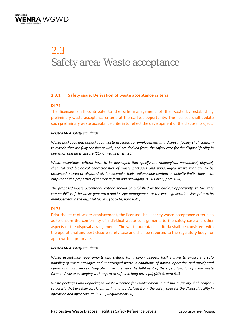

# 2.3 Safety area: Waste acceptance

-

# **2.3.1 Safety issue: Derivation of waste acceptance criteria**

## **DI‐74:**

The licensee shall contribute to the safe management of the waste by establishing preliminary waste acceptance criteria at the earliest opportunity. The licensee shall update such preliminary waste acceptance criteria to reflect the development of the disposal project.

## *Related IAEA safety standards:*

*Waste packages and unpackaged waste accepted for emplacement in a disposal facility shall conform* to criteria that are fully consistent with, and are derived from, the safety case for the disposal facility in *operation and after closure.(SSR‐5, Requirement 20)*

*Waste acceptance criteria have to be developed that specify the radiological, mechanical, physical, chemical and biological characteristics of waste packages and unpackaged waste that are to be processed, stored or disposed of; for example, their radionuclide content or activity limits, their heat output and the properties of the waste form and packaging. (GSR Part 5, para 4.24)*

*The proposed waste acceptance criteria should be published at the earliest opportunity, to facilitate compatibility of the waste generated and its safe management at the waste generation sites prior to its emplacement in the disposal facility. ( SSG‐14, para 6.41)*

## **DI‐75:**

Prior the start of waste emplacement, the licensee shall specify waste acceptance criteria so as to ensure the conformity of individual waste consignments to the safety case and other aspects of the disposal arrangements. The waste acceptance criteria shall be consistent with the operational and post-closure safety case and shall be reported to the regulatory body, for approval if appropriate.

## *Related IAEA safety standards:*

*Waste acceptance requirements and criteria for a given disposal facility have to ensure the safe handling of waste packages and unpackaged waste in conditions of normal operation and anticipated operational occurrences. They also have to ensure the fulfilment of the safety functions for the waste form and waste packaging with regard to safety in long term. […] (SSR‐5, para 5.1)*

*Waste packages and unpackaged waste accepted for emplacement in a disposal facility shall conform* to criteria that are fully consistent with, and are derived from, the safety case for the disposal facility in *operation and after closure. (SSR‐5, Requirement 20)*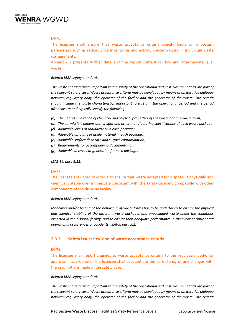

# **DI‐76:**

The licensee shall ensure that waste acceptance criteria specify limits on important parameters such as radionuclide inventories and activity concentrations in individual waste consignments.

Appendix 2 presents further details of the typical content for low and intermediate level waste.

## *Related IAEA safety standards:*

The waste characteristics important to the safety of the operational and post-closure periods are part of *the relevant safety case. Waste acceptance criteria may be developed by means of an iterative dialogue between regulatory body, the operator of the facility and the generator of the waste. The criteria should include the waste characteristics important to safety in the operational period and the period after closure and typically specify the following:*

- *(a) The permissible range of chemical and physical properties of the waste and the waste form;*
- *(b) The permissible dimensions, weight and other manufacturing specifications of each waste package;*
- *(c) Allowable levels of radioactivity in each package;*
- *(d) Allowable amounts of fissile material in each package;*
- *(e) Allowable surface dose rate and surface contamination;*
- *(f) Requirements for accompanying documentation;*
- *(g) Allowable decay heat generation for each package.*

#### *(SSG‐14, para 6.38)*

#### **DI‐77:**

The licensee shall specify criteria to ensure that waste accepted for disposal is physically and chemically stable over a timescale consistent with the safety case and compatible with other components of the disposal facility.

#### *Related IAEA safety standards:*

*Modelling and/or testing of the behaviour of waste forms has to be undertaken to ensure the physical and chemical stability of the different waste packages and unpackaged waste under the conditions expected in the disposal facility, and to ensure their adequate performance in the event of anticipated operational occurrences or accidents. (SSR‐5, para 5.2)*

# **2.3.2 Safety issue: Revision of waste acceptance criteria**

## **DI‐78:**

The licensee shall report changes to waste acceptance criteria to the regulatory body, for approval if appropriate. The licensee shall substantiate the consistency of any changes with the assumptions made in the safety case.

#### *Related IAEA safety standards:*

The waste characteristics important to the safety of the operational and post-closure periods are part of *the relevant safety case. Waste acceptance criteria may be developed by means of an iterative dialogue between regulatory body, the operator of the facility and the generator of the waste. The criteria*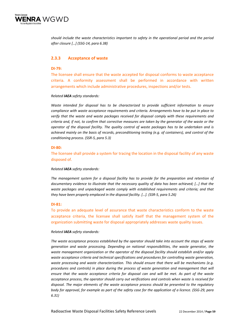

*should include the waste characteristics important to safety in the operational period and the period after closure […] (SSG‐14, para 6.38)*

## **2.3.3 Acceptance of waste**

## **DI‐79:**

The licensee shall ensure that the waste accepted for disposal conforms to waste acceptance criteria. A conformity assessment shall be performed in accordance with written arrangements which include administrative procedures, inspections and/or tests.

## *Related IAEA safety standards:*

*Waste intended for disposal has to be characterized to provide sufficient information to ensure compliance with waste acceptance requirements and criteria. Arrangements have to be put in place to verify that the waste and waste packages received for disposal comply with these requirements and* criteria and, if not, to confirm that corrective measures are taken by the generator of the waste or the *operator of the disposal facility. The quality control of waste packages has to be undertaken and is achieved mainly on the basis of records, preconditioning testing (e.g. of containers), and control of the conditioning process. (SSR‐5, para 5.3)*

## **DI‐80:**

The licensee shall provide a system for tracing the location in the disposal facility of any waste disposed of.

#### *Related IAEA safety standards:*

*The management system for a disposal facility has to provide for the preparation and retention of documentary evidence to illustrate that the necessary quality of data has been achieved; […] that the waste packages and unpackaged waste comply with established requirements and criteria; and that they have been properly emplaced in the disposal facility. […]. (SSR‐5, para 5.26)*

## **DI‐81:**

To provide an adequate level of assurance that waste characteristics conform to the waste acceptance criteria, the licensee shall satisfy itself that the management system of the organization submitting waste for disposal appropriately addresses waste quality issues.

#### *Related IAEA safety standards:*

*The waste acceptance process established by the operator should take into account the steps of waste generation and waste processing. Depending on national responsibilities, the waste generator, the waste management organization or the operator of the disposal facility should establish and/or apply waste acceptance criteria and technical specifications and procedures for controlling waste generation, waste processing and waste characterization. This should ensure that there will be mechanisms (e.g. procedures and controls) in place during the process of waste generation and management that will ensure that the waste acceptance criteria for disposal can and will be met. As part of the waste acceptance process, the operator should carry out verifications and controls when waste is received for disposal. The major elements of the waste acceptance process should be presented to the regulatory* body for approval, for example as part of the safety case for the application of a licence. (SSG-29, para *6.31)*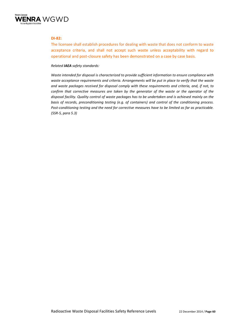

## **DI‐82:**

The licensee shall establish procedures for dealing with waste that does not conform to waste acceptance criteria, and shall not accept such waste unless acceptability with regard to operational and post‐closure safety has been demonstrated on a case by case basis.

## *Related IAEA safety standards:*

*Waste intended for disposal is characterized to provide sufficient information to ensure compliance with waste acceptance requirements and criteria. Arrangements will be put in place to verify that the waste and waste packages received for disposal comply with these requirements and criteria, and, if not, to confirm that corrective measures are taken by the generator of the waste or the operator of the disposal facility. Quality control of waste packages has to be undertaken and is achieved mainly on the basis of records, preconditioning testing (e.g. of containers) and control of the conditioning process.* Post-conditioning testing and the need for corrective measures have to be limited as far as practicable. *(SSR‐5, para 5.3)*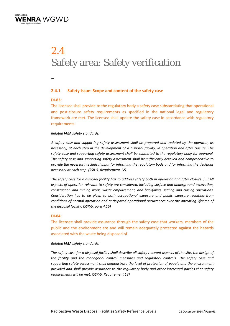

# 2.4 Safety area: Safety verification

-

# **2.4.1 Safety issue: Scope and content of the safety case**

# **DI‐83:**

The licensee shall provide to the regulatory body a safety case substantiating that operational and post-closure safety requirements as specified in the national legal and regulatory framework are met. The licensee shall update the safety case in accordance with regulatory requirements.

# *Related IAEA safety standards:*

*A safety case and supporting safety assessment shall be prepared and updated by the operator, as necessary, at each step in the development of a disposal facility, in operation and after closure. The safety case and supporting safety assessment shall be submitted to the regulatory body for approval. The safety case and supporting safety assessment shall be sufficiently detailed and comprehensive to provide the necessary technical input for informing the regulatory body and for informing the decisions necessary at each step. (SSR‐5, Requirement 12)*

The safety case for a disposal facility has to address safety both in operation and after closure. [...] All *aspects of operation relevant to safety are considered, including surface and underground excavation, construction and mining work, waste emplacement, and backfilling, sealing and closing operations. Consideration has to be given to both occupational exposure and public exposure resulting from conditions of normal operation and anticipated operational occurrences over the operating lifetime of the disposal facility. (SSR‐5, para 4.15)*

## **DI‐84:**

The licensee shall provide assurance through the safety case that workers, members of the public and the environment are and will remain adequately protected against the hazards associated with the waste being disposed of.

## *Related IAEA safety standards:*

The safety case for a disposal facility shall describe all safety relevant aspects of the site, the design of *the facility and the managerial control measures and regulatory controls. The safety case and supporting safety assessment shall demonstrate the level of protection of people and the environment provided and shall provide assurance to the regulatory body and other interested parties that safety requirements will be met. (SSR‐5, Requirement 13)*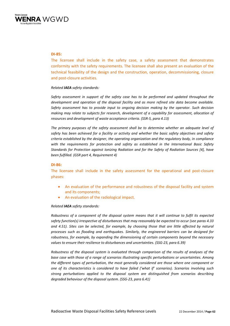

## **DI‐85:**

The licensee shall include in the safety case, a safety assessment that demonstrates conformity with the safety requirements. The licensee shall also present an evaluation of the technical feasibility of the design and the construction, operation, decommissioning, closure and post‐closure activities.

## *Related IAEA safety standards:*

*Safety assessment in support of the safety case has to be performed and updated throughout the development and operation of the disposal facility and as more refined site data become available. Safety assessment has to provide input to ongoing decision making by the operator. Such decision making may relate to subjects for research, development of a capability for assessment, allocation of resources and development of waste acceptance criteria. (SSR‐5, para 4.13)*

*The primary purposes of the safety assessment shall be to determine whether an adequate level of safety has been achieved for a facility or activity and whether the basic safety objectives and safety criteria established by the designer, the operating organization and the regulatory body, in compliance with the requirements for protection and safety as established in the International Basic Safety Standards for Protection against Ionizing Radiation and for the Safety of Radiation Sources [4], have been fulfilled. (GSR part 4, Requirement 4)*

## **DI‐86:**

The licensee shall include in the safety assessment for the operational and post-closure phases:

- An evaluation of the performance and robustness of the disposal facility and system and its components;
- An evaluation of the radiological impact.

#### *Related IAEA safety standards:*

*Robustness of a component of the disposal system means that it will continue to fulfil its expected safety function(s) irrespective of disturbances that may reasonably be expected to occur (see paras 4.33 and 4.51). Sites can be selected, for example, by choosing those that are little affected by natural processes such as flooding and earthquakes. Similarly, the engineered barriers can be designed for robustness, for example, by expanding the dimensioning of certain components beyond the necessary values to ensure their resilience to disturbances and uncertainties. (SSG‐23, para 6.39)*

*Robustness of the disposal system is evaluated through comparison of the results of analyses of the base case with those of a range of scenarios illustrating specific perturbations or uncertainties. Among the different types of perturbation, the most generally considered are those where one component or one of its characteristics is considered to have failed ('what if' scenarios). Scenarios involving such strong perturbations applied to the disposal system are distinguished from scenarios describing degraded behaviour of the disposal system. (SSG‐23, para 6.41)*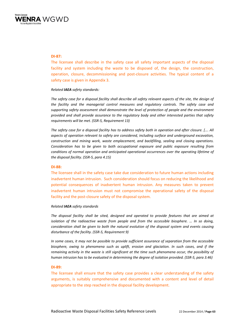

## **DI‐87:**

The licensee shall describe in the safety case all safety important aspects of the disposal facility and system including the waste to be disposed of, the design, the construction, operation, closure, decommissioning and post‐closure activities. The typical content of a safety case is given in Appendix 3.

#### *Related IAEA safety standards:*

The safety case for a disposal facility shall describe all safety relevant aspects of the site, the design of *the facility and the managerial control measures and regulatory controls. The safety case and supporting safety assessment shall demonstrate the level of protection of people and the environment provided and shall provide assurance to the regulatory body and other interested parties that safety requirements will be met. (SSR‐5, Requirement 13)*

The safety case for a disposal facility has to address safety both in operation and after closure. [.... All *aspects of operation relevant to safety are considered, including surface and underground excavation, construction and mining work, waste emplacement, and backfilling, sealing and closing operations. Consideration has to be given to both occupational exposure and public exposure resulting from conditions of normal operation and anticipated operational occurrences over the operating lifetime of the disposal facility. (SSR‐5, para 4.15)*

## **DI‐88:**

The licensee shall in the safety case take due consideration to future human actions including inadvertent human intrusion. Such consideration should focus on reducing the likelihood and potential consequences of inadvertent human intrusion. Any measures taken to prevent inadvertent human intrusion must not compromise the operational safety of the disposal facility and the post-closure safety of the disposal system.

#### *Related IAEA safety standards*

*The disposal facility shall be sited, designed and operated to provide features that are aimed at isolation of the radioactive waste from people and from the accessible biosphere. … In so doing, consideration shall be given to both the natural evolution of the disposal system and events causing disturbance of the facility. (SSR‐5, Requirement 9)*

*In some cases, it may not be possible to provide sufficient assurance of separation from the accessible biosphere, owing to phenomena such as uplift, erosion and glaciation. In such cases, and if the remaining activity in the waste is still significant at the time such phenomena occur, the possibility of* human intrusion has to be evaluated in determining the degree of isolation provided. (SSR-5, para 3.46)

#### **DI‐89:**

The licensee shall ensure that the safety case provides a clear understanding of the safety arguments, is suitably comprehensive and documented with a content and level of detail appropriate to the step reached in the disposal facility development.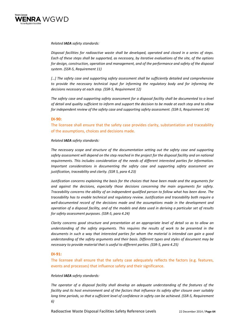

## *Related IAEA safety standards:*

*Disposal facilities for radioactive waste shall be developed, operated and closed in a series of steps.* Each of these steps shall be supported, as necessary, by iterative evaluations of the site, of the options *for design, construction, operation and management, and of the performance and safety of the disposal system. (SSR‐5, Requirement 11)* 

*[…] The safety case and supporting safety assessment shall be sufficiently detailed and comprehensive to provide the necessary technical input for informing the regulatory body and for informing the decisions necessary at each step. (SSR‐5, Requirement 12)*

*The safety case and supporting safety assessment for a disposal facility shall be documented to a level* of detail and quality sufficient to inform and support the decision to be made at each step and to allow *for independent review of the safety case and supporting safety assessment. (SSR‐5, Requirement 14)*

## **DI‐90:**

The licensee shall ensure that the safety case provides clarity, substantiation and traceability of the assumptions, choices and decisions made.

## *Related IAEA safety standards:*

*The necessary scope and structure of the documentation setting out the safety case and supporting* safety assessment will depend on the step reached in the project for the disposal facility and on national *requirements. This includes consideration of the needs of different interested parties for information. Important considerations in documenting the safety case and supporting safety assessment are justification, traceability and clarity. (SSR 5, para 4.23)*

*Justification concerns explaining the basis for the choices that have been made and the arguments for and against the decisions, especially those decisions concerning the main arguments for safety. Traceability concerns the ability of an independent qualified person to follow what has been done. The traceability has to enable technical and regulatory review. Justification and traceability both require a well‐documented record of the decisions made and the assumptions made in the development and* operation of a disposal facility, and of the models and data used in deriving a particular set of results *for safety assessment purposes. (SSR‐5, para 4.24)*

*Clarity concerns good structure and presentation at an appropriate level of detail so as to allow an understanding of the safety arguments. This requires the results of work to be presented in the documents in such a way that interested parties for whom the material is intended can gain a good understanding of the safety arguments and their basis. Different types and styles of document may be necessary to provide material that is useful to different parties. (SSR‐5, para 4.25)*

## **DI‐91:**

The licensee shall ensure that the safety case adequately reflects the factors (e.g. features, events and processes) that influence safety and their significance.

#### *Related IAEA safety standards:*

*The operator of a disposal facility shall develop an adequate understanding of the features of the* facility and its host environment and of the factors that influence its safety after closure over suitably long time periods, so that a sufficient level of confidence in safety can be achieved. (SSR-5, Requirement *6)*

Radioactive Waste Disposal Facilities Safety Reference Levels 22 December 2014 / **Page 64**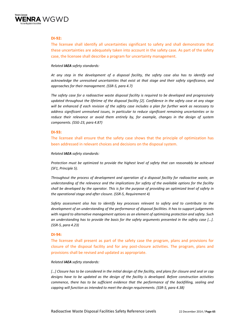

## **DI‐92:**

The licensee shall identify all uncertainties significant to safety and shall demonstrate that these uncertainties are adequately taken into account in the safety case. As part of the safety case, the licensee shall describe a program for uncertainty management.

## *Related IAEA safety standards:*

*At any step in the development of a disposal facility, the safety case also has to identify and acknowledge the unresolved uncertainties that exist at that stage and their safety significance, and approaches for their management. (SSR‐5, para 4.7)*

*The safety case for a radioactive waste disposal facility is required to be developed and progressively updated throughout the lifetime of the disposal facility [2]. Confidence in the safety case at any stage* will be enhanced if each revision of the safety case includes a plan for further work as necessary to *address significant unresolved issues, in particular to reduce significant remaining uncertainties or to reduce their relevance or avoid them entirely by, for example, changes in the design of system components. (SSG‐23, para 4.87)*

## **DI‐93:**

The licensee shall ensure that the safety case shows that the principle of optimization has been addressed in relevant choices and decisions on the disposal system.

#### *Related IAEA safety standards:*

*Protection must be optimized to provide the highest level of safety that can reasonably be achieved (SF1, Principle 5).*

*Throughout the process of development and operation of a disposal facility for radioactive waste, an understanding of the relevance and the implications for safety of the available options for the facility* shall be developed by the operator. This is for the purpose of providing an optimized level of safety in *the operational stage and after closure. (SSR‐5, Requirement 4)*

*Safety assessment also has to identify key processes relevant to safety and to contribute to the development of an understanding of the performance of disposal facilities. It has to support judgements with regard to alternative management options as an element of optimizing protection and safety. Such an understanding has to provide the basis for the safety arguments presented in the safety case [...]. (SSR‐5, para 4.23)*

## **DI‐94:**

The licensee shall present as part of the safety case the program, plans and provisions for closure of the disposal facility and for any post‐closure activities. The program, plans and provisions shall be revised and updated as appropriate.

#### *Related IAEA safety standards:*

[...] Closure has to be considered in the initial design of the facility, and plans for closure and seal or cap *designs have to be updated as the design of the facility is developed. Before construction activities commence, there has to be sufficient evidence that the performance of the backfilling, sealing and capping will function as intended to meet the design requirements. (SSR‐5, para 4.38)*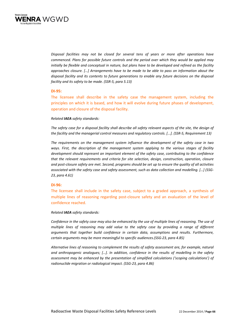

*Disposal facilities may not be closed for several tens of years or more after operations have commenced. Plans for possible future controls and the period over which they would be applied may* initially be flexible and conceptual in nature, but plans have to be developed and refined as the facility *approaches closure. […] Arrangements have to be made to be able to pass on information about the disposal facility and its contents to future generations to enable any future decisions on the disposal facility and its safety to be made. (SSR‐5, para 5.13)*

## **DI‐95:**

The licensee shall describe in the safety case the management system, including the principles on which it is based, and how it will evolve during future phases of development, operation and closure of the disposal facility.

#### *Related IAEA safety standards:*

The safety case for a disposal facility shall describe all safety relevant aspects of the site, the design of *the facility and the managerial control measures and regulatory controls. [...]. (SSR‐5, Requirement 13)*

*The requirements on the management system influence the development of the safety case in two ways. First, the description of the management system applying to the various stages of facility development should represent an important element of the safety case, contributing to the confidence that the relevant requirements and criteria for site selection, design, construction, operation, closure* and post-closure safety are met. Second, programs should be set up to ensure the quality of all activities *associated with the safety case and safety assessment, such as data collection and modelling. […] (SSG‐ 23, para 4.61)*

## **DI‐96:**

The licensee shall include in the safety case, subject to a graded approach, a synthesis of multiple lines of reasoning regarding post-closure safety and an evaluation of the level of confidence reached.

#### *Related IAEA safety standards:*

Confidence in the safety case may also be enhanced by the use of multiple lines of reasoning. The use of *multiple lines of reasoning may add value to the safety case by providing a range of different arguments that together build confidence in certain data, assumptions and results. Furthermore, certain arguments may be more meaningful to specific audiences.(SSG‐23, para 4.85)*

*Alternative lines of reasoning to complement the results of safety assessment are, for example, natural and anthropogenic analogues; […]. In addition, confidence in the results of modelling in the safety assessment may be enhanced by the presentation of simplified calculations ('scoping calculations') of radionuclide migration or radiological impact. (SSG‐23, para 4.86)*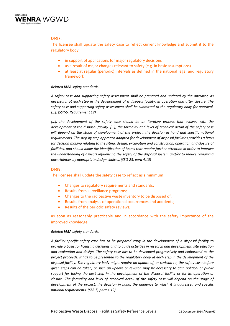

# **DI‐97:**

The licensee shall update the safety case to reflect current knowledge and submit it to the regulatory body

- in support of applications for major regulatory decisions
- as a result of major changes relevant to safety (e.g. in basic assumptions)
- at least at regular (periodic) intervals as defined in the national legal and regulatory framework

## *Related IAEA safety standards:*

*A safety case and supporting safety assessment shall be prepared and updated by the operator, as necessary, at each step in the development of a disposal facility, in operation and after closure. The safety case and supporting safety assessment shall be submitted to the regulatory body for approval. […]. (SSR‐5, Requirement 12)*

*[…], the development of the safety case should be an iterative process that evolves with the development of the disposal facility. […], the formality and level of technical detail of the safety case will depend on the stage of development of the project, the decision in hand and specific national requirements. The step by step approach adopted for development of disposal facilities provides a basis for decision making relating to the siting, design, excavation and construction, operation and closure of facilities, and should allow the identification of issues that require further attention in order to improve the understanding of aspects influencing the safety of the disposal system and/or to reduce remaining uncertainties by appropriate design choices. (SSG‐23, para 4.10)*

## **DI‐98:**

The licensee shall update the safety case to reflect as a minimum:

- Changes to regulatory requirements and standards;
- Results from surveillance programs;
- Changes to the radioactive waste inventory to be disposed of;
- Results from analysis of operational occurrences and accidents;
- Results of the periodic safety reviews;

as soon as reasonably practicable and in accordance with the safety importance of the improved knowledge.

## *Related IAEA safety standards:*

A facility specific safety case has to be prepared early in the development of a disposal facility to *provide a basis for licensing decisions and to guide activities in research and development, site selection and evaluation and design. The safety case has to be developed progressively and elaborated as the* project proceeds. It has to be presented to the regulatory body at each step in the development of the *disposal facility. The regulatory body might require an update of, or revision to, the safety case before* given steps can be taken, or such an update or revision may be necessary to gain political or public support for taking the next step in the development of the disposal facility or for its operation or closure. The formality and level of technical detail of the safety case will depend on the stage of *development of the project, the decision in hand, the audience to which it is addressed and specific national requirements. (SSR‐5, para 4.12)*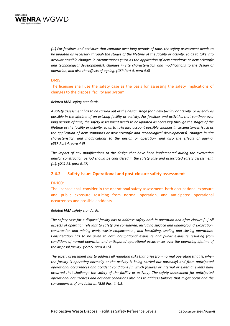

*[…] For facilities and activities that continue over long periods of time, the safety assessment needs to* be updated as necessary through the stages of the lifetime of the facility or activity, so as to take into *account possible changes in circumstances (such as the application of new standards or new scientific and technological developments), changes in site characteristics, and modifications to the design or operation, and also the effects of ageing. (GSR Part 4, para 4.6)*

## **DI‐99:**

The licensee shall use the safety case as the basis for assessing the safety implications of changes to the disposal facility and system.

## *Related IAEA safety standards:*

A safety assessment has to be carried out at the design stage for a new facility or activity, or as early as possible in the lifetime of an existing facility or activity. For facilities and activities that continue over long periods of time, the safety assessment needs to be updated as necessary through the stages of the lifetime of the facility or activity, so as to take into account possible changes in circumstances (such as *the application of new standards or new scientific and technological developments), changes in site characteristics, and modifications to the design or operation, and also the effects of ageing. (GSR Part 4, para 4.6)*

*The impact of any modifications to the design that have been implemented during the excavation and/or construction period should be considered in the safety case and associated safety assessment. […]. (SSG‐23, para 6.17)*

# **2.4.2 Safety issue: Operational and post‐closure safety assessment**

## **DI‐100:**

The licensee shall consider in the operational safety assessment, both occupational exposure and public exposure resulting from normal operation, and anticipated operational occurrences and possible accidents.

## *Related IAEA safety standards:*

The safety case for a disposal facility has to address safety both in operation and after closure.[...] All *aspects of operation relevant to safety are considered, including surface and underground excavation, construction and mining work, waste emplacement, and backfilling, sealing and closing operations. Consideration has to be given to both occupational exposure and public exposure resulting from conditions of normal operation and anticipated operational occurrences over the operating lifetime of the disposal facility. (SSR‐5, para 4.15)*

*The safety assessment has to address all radiation risks that arise from normal operation (that is, when the facility is operating normally or the activity is being carried out normally) and from anticipated operational occurrences and accident conditions (in which failures or internal or external events have occurred that challenge the safety of the facility or activity). The safety assessment for anticipated operational occurrences and accident conditions also has to address failures that might occur and the consequences of any failures. (GSR Part 4, 4.5)*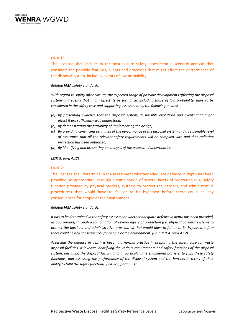

## **DI‐101:**

The licensee shall include in the post‐closure safety assessment a scenario analysis that considers the possible features, events and processes that might affect the performance of the disposal system, including events of low probability.

*Related IAEA safety standards:*

*With regard to safety after closure, the expected range of possible developments affecting the disposal system and events that might affect its performance, including those of low probability, have to be considered in the safety case and supporting assessment by the following means:*

- *(a) By presenting evidence that the disposal system, its possible evolutions and events that might affect it are sufficiently well understood;*
- *(b) By demonstrating the feasibility of implementing the design;*
- *(c) By providing convincing estimates of the performance of the disposal system and a reasonable level of assurance that all the relevant safety requirements will be complied with and that radiation protection has been optimized;*
- *(d) By identifying and presenting an analysis of the associated uncertainties.*

*(SSR‐5, para 4.17)*

## **DI‐102:**

The licensee shall determine in the assessment whether adequate defence in depth has been provided, as appropriate, through a combination of several layers of protection (e.g. safety function provided by physical barriers, systems to protect the barriers, and administrative procedures) that would have to fail or to be bypassed before there could be any consequences for people or the environment.

#### *Related IAEA safety standards:*

*It has to be determined in the safety assessment whether adequate defence in depth has been provided, as appropriate, through a combination of several layers of protection (i.e. physical barriers, systems to protect the barriers, and administrative procedures) that would have to fail or to be bypassed before there could be any consequences for people or the environment. (GSR Part 4, para 4.12)*

*Assessing the defence in depth is becoming normal practice in preparing the safety case for waste disposal facilities. It involves identifying the various requirements and safety functions of the disposal system, designing the disposal facility and, in particular, the engineered barriers, to fulfil these safety functions, and assessing the performance of the disposal system and the barriers in terms of their ability to fulfil the safety functions. (SSG‐23, para 6.31)*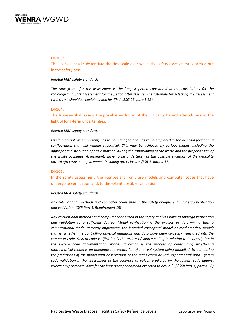

#### **DI‐103:**

The licensee shall substantiate the timescale over which the safety assessment is carried out in the safety case.

#### *Related IAEA safety standards:*

*The time frame for the assessment is the longest period considered in the calculations for the radiological impact assessment for the period after closure. The rationale for selecting the assessment time frame should be explained and justified. (SSG‐23, para 5.33)*

#### **DI‐104:**

The licensee shall assess the possible evolution of the criticality hazard after closure in the light of long‐term uncertainties.

#### *Related IAEA safety standards:*

Fissile material, when present, has to be managed and has to be emplaced in the disposal facility in a *configuration that will remain subcritical. This may be achieved by various means, including the appropriate distribution of fissile material during the conditioning of the waste and the proper design of the waste packages. Assessments have to be undertaken of the possible evolution of the criticality hazard after waste emplacement, including after closure. (SSR‐5, para 4.37)*

## **DI‐105:**

In the safety assessment, the licensee shall only use models and computer codes that have undergone verification and, to the extent possible, validation.

#### *Related IAEA safety standards:*

*Any calculational methods and computer codes used in the safety analysis shall undergo verification and validation. (GSR Part 4, Requirement 18)*

*Any calculational methods and computer codes used in the safety analysis have to undergo verification and validation to a sufficient degree. Model verification is the process of determining that a computational model correctly implements the intended conceptual model or mathematical model; that is, whether the controlling physical equations and data have been correctly translated into the computer code. System code verification is the review of source coding in relation to its description in the system code documentation. Model validation is the process of determining whether a mathematical model is an adequate representation of the real system being modelled, by comparing the predictions of the model with observations of the real system or with experimental data. System code validation is the assessment of the accuracy of values predicted by the system code against relevant experimental data for the important phenomena expected to occur. […] (GSR Part‐4, para 4.60)*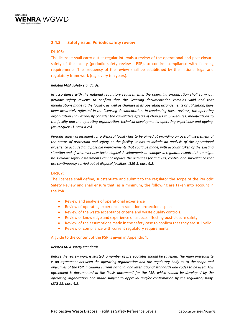

# **2.4.3 Safety issue: Periodic safety review**

## **DI‐106:**

The licensee shall carry out at regular intervals a review of the operational and post-closure safety of the facility (periodic safety review - PSR), to confirm compliance with licensing requirements. The frequency of the review shall be established by the national legal and regulatory framework (e.g. every ten years).

## *Related IAEA safety standards:*

*In accordance with the national regulatory requirements, the operating organization shall carry out periodic safety reviews to confirm that the licensing documentation remains valid and that modifications made to the facility, as well as changes in its operating arrangements or utilization, have been accurately reflected in the licensing documentation. In conducting these reviews, the operating organization shall expressly consider the cumulative effects of changes to procedures, modifications to the facility and the operating organization, technical developments, operating experience and ageing. (NS‐R‐5(Rev.1), para 4.26)*

*Periodic safety assessment for a disposal facility has to be aimed at providing an overall assessment of* the status of protection and safety at the facility. It has to include an analysis of the operational *experience acquired and possible improvements that could be made, with account taken of the existing situation and of whatever new technological developments or changes in regulatory control there might be. Periodic safety assessments cannot replace the activities for analysis, control and surveillance that are continuously carried out at disposal facilities. (SSR‐5, para 6.2)*

#### **DI‐107:**

The licensee shall define, substantiate and submit to the regulator the scope of the Periodic Safety Review and shall ensure that, as a minimum, the following are taken into account in the PSR:

- Review and analysis of operational experience
- Review of operating experience in radiation protection aspects.
- Review of the waste acceptance criteria and waste quality controls.
- Review of knowledge and experience of aspects affecting post-closure safety.
- Review of the assumptions made in the safety case to confirm that they are still valid.
- Review of compliance with current regulatory requirements.

## A guide to the content of the PSR is given in Appendix 4.

## *Related IAEA safety standards:*

*Before the review work is started, a number of prerequisites should be satisfied. The main prerequisite is an agreement between the operating organization and the regulatory body as to the scope and objectives of the PSR, including current national and international standards and codes to be used. This agreement is documented in the 'basis document' for the PSR, which should be developed by the operating organization and made subject to approval and/or confirmation by the regulatory body. (SSG‐25, para 4.5)*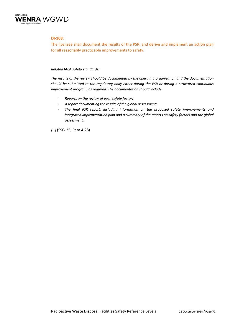

## **DI‐108:**

The licensee shall document the results of the PSR, and derive and implement an action plan for all reasonably practicable improvements to safety.

## *Related IAEA safety standards:*

*The results of the review should be documented by the operating organization and the documentation should be submitted to the regulatory body either during the PSR or during a structured continuous improvement program, as required. The documentation should include:*

- ‐ *Reports on the review of each safety factor;*
- ‐ *A report documenting the results of the global assessment;*
- ‐ *The final PSR report, including information on the proposed safety improvements and integrated implementation plan and a summary of the reports on safety factors and the global assessment.*

*[…]* (SSG‐25, Para 4.28)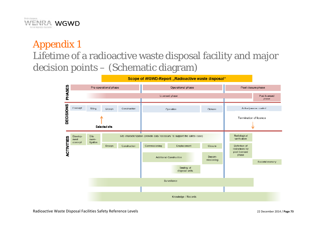

# Appendix 1 Lifetime of a radioactive waste disposal facility and major decision points – (Schematic diagram)

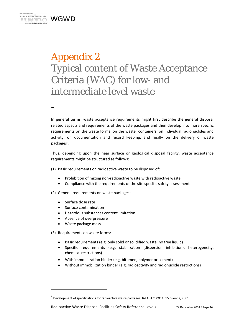

-

## Appendix 2 Typical content of Waste Acceptance Criteria (WAC) for low- and intermediate level waste

In general terms, waste acceptance requirements might first describe the general disposal related aspects and requirements of the waste packages and then develop into more specific requirements on the waste forms, on the waste containers, on individual radionuclides and activity, on documentation and record keeping, and finally on the delivery of waste packages<sup>3</sup>.

Thus, depending upon the near surface or geological disposal facility, waste acceptance requirements might be structured as follows:

- (1) Basic requirements on radioactive waste to be disposed of:
	- Prohibition of mixing non‐radioactive waste with radioactive waste
	- Compliance with the requirements of the site specific safety assessment
- (2) General requirements on waste packages:
	- Surface dose rate
	- Surface contamination
	- Hazardous substances content limitation
	- Absence of overpressure
	- Waste package mass

(3) Requirements on waste forms:

- Basic requirements (e.g. only solid or solidified waste, no free liquid)
- Specific requirements (e.g. stabilization (dispersion inhibition), heterogeneity, chemical restrictions)
- With immobilization binder (e.g. bitumen, polymer or cement)
- Without immobilization binder (e.g. radioactivity and radionuclide restrictions)

<sup>&</sup>lt;sup>3</sup> Development of specifications for radioactive waste packages. IAEA TECDOC 1515, Vienna, 2001.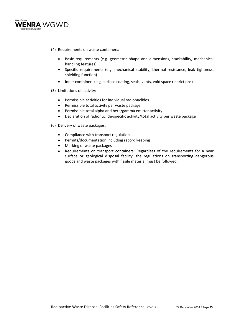

- (4) Requirements on waste containers:
	- Basic requirements (e.g. geometric shape and dimensions, stackability, mechanical handling features)
	- Specific requirements (e.g. mechanical stability, thermal resistance, leak tightness, shielding function)
	- Inner containers (e.g. surface coating, seals, vents, void space restrictions)
- (5) Limitations of activity:
	- Permissible activities for individual radionuclides
	- Permissible total activity per waste package
	- Permissible total alpha and beta/gamma emitter activity
	- Declaration of radionuclide-specific activity/total activity per waste package
- (6) Delivery of waste packages:
	- Compliance with transport regulations
	- Permits/documentation including record keeping
	- Marking of waste packages
	- Requirements on transport containers: Regardless of the requirements for a near surface or geological disposal facility, the regulations on transporting dangerous goods and waste packages with fissile material must be followed.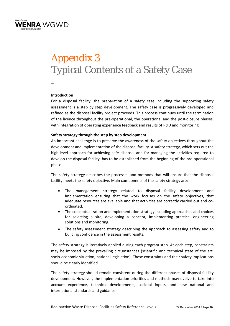

# Appendix 3 Typical Contents of a Safety Case



### **Introduction**

For a disposal facility, the preparation of a safety case including the supporting safety assessment is a step by step development. The safety case is progressively developed and refined as the disposal facility project proceeds. This process continues until the termination of the licence throughout the pre‐operational, the operational and the post‐closure phases, with integration of operating experience feedback and results of R&D and monitoring.

### **Safety strategy through the step by step development**

An important challenge is to preserve the awareness of the safety objectives throughout the development and implementation of the disposal facility. A safety strategy, which sets out the high-level approach for achieving safe disposal and for managing the activities required to develop the disposal facility, has to be established from the beginning of the pre‐operational phase.

The safety strategy describes the processes and methods that will ensure that the disposal facility meets the safety objective. Main components of the safety strategy are:

- The management strategy related to disposal facility development and implementation ensuring that the work focuses on the safety objectives, that adequate resources are available and that activities are correctly carried out and co‐ ordinated.
- The conceptualization and implementation strategy including approaches and choices for selecting a site, developing a concept, implementing practical engineering solutions and monitoring.
- The safety assessment strategy describing the approach to assessing safety and to building confidence in the assessment results.

The safety strategy is iteratively applied during each program step. At each step, constraints may be imposed by the prevailing circumstances (scientific and technical state of the art, socio‐economic situation, national legislation). These constraints and their safety implications should be clearly identified.

The safety strategy should remain consistent during the different phases of disposal facility development. However, the implementation priorities and methods may evolve to take into account experience, technical developments, societal inputs, and new national and international standards and guidance.

Radioactive Waste Disposal Facilities Safety Reference Levels 22 December 2014 / **Page 76**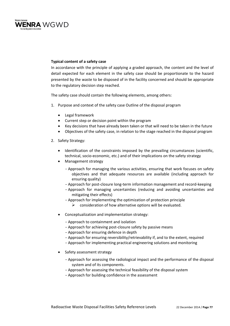

### **Typical content of a safety case**

In accordance with the principle of applying a graded approach, the content and the level of detail expected for each element in the safety case should be proportionate to the hazard presented by the waste to be disposed of in the facility concerned and should be appropriate to the regulatory decision step reached.

The safety case should contain the following elements, among others:

- 1. Purpose and context of the safety case Outline of the disposal program
	- Legal framework
	- Current step or decision point within the program
	- Key decisions that have already been taken or that will need to be taken in the future
	- Objectives of the safety case, in relation to the stage reached in the disposal program
- 2. Safety Strategy:
	- Identification of the constraints imposed by the prevailing circumstances (scientific, technical, socio‐economic, etc.) and of their implications on the safety strategy
	- Management strategy
		- -Approach for managing the various activities, ensuring that work focuses on safety objectives and that adequate resources are available (including approach for ensuring quality)
		- -Approach for post‐closure long‐term information management and record‐keeping
		- -Approach for managing uncertainties (reducing and avoiding uncertainties and mitigating their effects)
		- -Approach for implementing the optimization of protection principle
			- $\triangleright$  consideration of how alternative options will be evaluated.
	- Conceptualization and implementation strategy:
		- -Approach to containment and isolation
		- -Approach for achieving post‐closure safety by passive means
		- -Approach for ensuring defence in depth
		- -Approach for ensuring reversibility/retrievability if, and to the extent, required
		- -Approach for implementing practical engineering solutions and monitoring
	- Safety assessment strategy
		- -Approach for assessing the radiological impact and the performance of the disposal system and of its components.
		- -Approach for assessing the technical feasibility of the disposal system
		- -Approach for building confidence in the assessment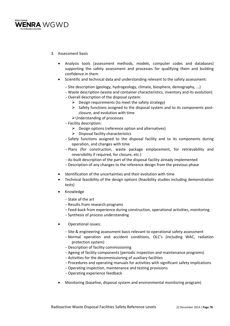

- 3. Assessment basis
	- Analysis tools (assessment methods, models, computer codes and databases) supporting the safety assessment and processes for qualifying them and building confidence in them
	- Scientific and technical data and understanding relevant to the safety assessment:
		- -Site description (geology, hydrogeology, climate, biosphere, demography, ...)
		- Waste description (waste and container characteristics, inventory and its evolution)
		- -Overall description of the disposal system:
			- $\triangleright$  Design requirements (to meet the safety strategy)
			- ▶ Safety functions assigned to the disposal system and to its components postclosure, and evolution with time
			- Understanding of processes
		- -Facility description:
			- $\triangleright$  Design options (reference option and alternatives)
			- $\triangleright$  Disposal facility characteristics
		- -Safety functions assigned to the disposal facility and to its components during operation, and changes with time
		- -Plans (for construction, waste package emplacement, for retrievability and reversibility if required, for closure, etc.)
		- -As‐built description of the part of the disposal facility already implemented
		- -Description of any changes to the reference design from the previous phase
	- Identification of the uncertainties and their evolution with time
	- Technical feasibility of the design options (feasibility studies including demonstration tests)
	- Knowledge
		- -State of the art
		- -Results from research programs
		- Feed-back from experience during construction, operational activities, monitoring
		- -Synthesis of process understanding
	- Operational issues:
		- -Site & engineering assessment basis relevant to operational safety assessment
		- -Normal operation and accident conditions, OLC's (including WAC, radiation protection system)
		- Description of facility commissioning
		- -Ageing of facility components (periodic inspection and maintenance programs)
		- -Activities for the decommissioning of auxiliary facilities
		- -Procedures and operating manuals for activities with significant safety implications
		- -Operating inspection, maintenance and testing provisions
		- -Operating experience feedback
	- Monitoring (baseline, disposal system and environmental monitoring program)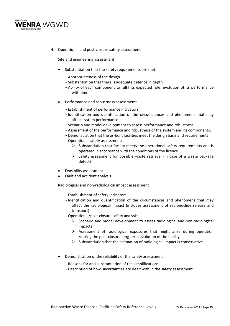

4. Operational and post-closure safety assessment

Site and engineering assessment

- Substantiation that the safety requirements are met:
	- -Appropriateness of the design
	- -Substantiation that there is adequate defence in depth
	- -Ability of each component to fulfil its expected role; evolution of its performance with time
- Performance and robustness assessment:
	- -Establishment of performance indicators
	- -Identification and quantification of the circumstances and phenomena that may affect system performance
	- -Scenario and model development to assess performance and robustness
	- -Assessment of the performance and robustness of the system and its components,
	- Demonstration that the as-built facilities meet the design basis and requirements
	- -Operational safety assessment:
		- $\triangleright$  Substantiation that facility meets the operational safety requirements and is operated in accordance with the conditions of the licence
		- $\triangleright$  Safety assessment for possible waste retrieval (in case of a waste package defect)
- Feasibility assessment
- Fault and accident analysis

Radiological and non‐radiological impact assessment

- -Establishment of safety indicators
- Identification and quantification of the circumstances and phenomena that may affect the radiological impact (includes assessment of radionuclide release and transport)
- -Operational/post‐closure safety analysis:
	- Scenario and model development to assess radiological and non‐radiological impacts
	- $\triangleright$  Assessment of radiological exposures that might arise during operation /during the post‐closure long‐term evolution of the facility
	- $\triangleright$  Substantiation that the estimation of radiological impact is conservative
- Demonstration of the reliability of the safety assessment
	- -Reasons for and substantiation of the simplifications
	- -Description of how uncertainties are dealt with in the safety assessment.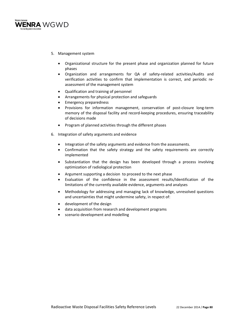

- 5. Management system
	- Organizational structure for the present phase and organization planned for future phases
	- Organization and arrangements for QA of safety‐related activities/Audits and verification activities to confirm that implementation is correct, and periodic re‐ assessment of the management system
	- Qualification and training of personnel
	- Arrangements for physical protection and safeguards
	- Emergency preparedness
	- Provisions for information management, conservation of post‐closure long‐term memory of the disposal facility and record-keeping procedures, ensuring traceability of decisions made
	- Program of planned activities through the different phases
- 6. Integration of safety arguments and evidence
	- Integration of the safety arguments and evidence from the assessments.
	- Confirmation that the safety strategy and the safety requirements are correctly implemented
	- Substantiation that the design has been developed through a process involving optimization of radiological protection
	- Argument supporting a decision to proceed to the next phase
	- Evaluation of the confidence in the assessment results/Identification of the limitations of the currently available evidence, arguments and analyses
	- Methodology for addressing and managing lack of knowledge, unresolved questions and uncertainties that might undermine safety, in respect of:
	- development of the design
	- data acquisition from research and development programs
	- scenario development and modelling